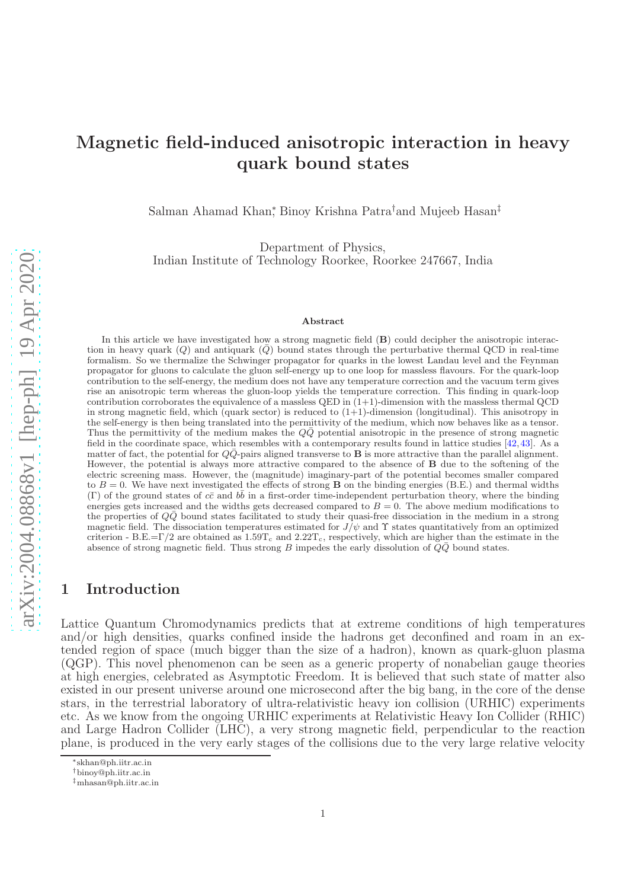# Magnetic field-induced anisotropic interaction in heavy quark bound states

Salman Ahamad Khan<sup>∗</sup> , Binoy Krishna Patra†and Mujeeb Hasan‡

Department of Physics,

Indian Institute of Technology Roorkee, Roorkee 247667, India

#### Abstract

arXiv:2004.08868v1 [hep-ph] 19 Apr 2020 [arXiv:2004.08868v1 \[hep-ph\] 19 Apr 2020](http://arxiv.org/abs/2004.08868v1)

In this article we have investigated how a strong magnetic field (B) could decipher the anisotropic interaction in heavy quark  $(Q)$  and antiquark  $(Q)$  bound states through the perturbative thermal QCD in real-time formalism. So we thermalize the Schwinger propagator for quarks in the lowest Landau level and the Feynman propagator for gluons to calculate the gluon self-energy up to one loop for massless flavours. For the quark-loop contribution to the self-energy, the medium does not have any temperature correction and the vacuum term gives rise an anisotropic term whereas the gluon-loop yields the temperature correction. This finding in quark-loop contribution corroborates the equivalence of a massless QED in  $(1+1)$ -dimension with the massless thermal QCD in strong magnetic field, which (quark sector) is reduced to  $(1+1)$ -dimension (longitudinal). This anisotropy in the self-energy is then being translated into the permittivity of the medium, which now behaves like as a tensor. Thus the permittivity of the medium makes the  $Q\bar{Q}$  potential anisotropic in the presence of strong magnetic field in the coordinate space, which resembles with a contemporary results found in lattice studies [\[42,](#page-25-0)[43\]](#page-25-1). As a matter of fact, the potential for  $Q\bar{Q}$ -pairs aligned transverse to **B** is more attractive than the parallel alignment. However, the potential is always more attractive compared to the absence of B due to the softening of the electric screening mass. However, the (magnitude) imaginary-part of the potential becomes smaller compared to  $B = 0$ . We have next investigated the effects of strong **B** on the binding energies (B.E.) and thermal widths (Γ) of the ground states of  $c\bar{c}$  and  $b\bar{b}$  in a first-order time-independent perturbation theory, where the binding energies gets increased and the widths gets decreased compared to  $B = 0$ . The above medium modifications to the properties of  $Q\bar{Q}$  bound states facilitated to study their quasi-free dissociation in the medium in a strong magnetic field. The dissociation temperatures estimated for  $J/\psi$  and  $\Upsilon$  states quantitatively from an optimized criterion - B.E.=Γ/2 are obtained as  $1.59T_c$  and  $2.22T_c$ , respectively, which are higher than the estimate in the absence of strong magnetic field. Thus strong B impedes the early dissolution of  $\overline{Q}\overline{Q}$  bound states.

# 1 Introduction

Lattice Quantum Chromodynamics predicts that at extreme conditions of high temperatures and/or high densities, quarks confined inside the hadrons get deconfined and roam in an extended region of space (much bigger than the size of a hadron), known as quark-gluon plasma (QGP). This novel phenomenon can be seen as a generic property of nonabelian gauge theories at high energies, celebrated as Asymptotic Freedom. It is believed that such state of matter also existed in our present universe around one microsecond after the big bang, in the core of the dense stars, in the terrestrial laboratory of ultra-relativistic heavy ion collision (URHIC) experiments etc. As we know from the ongoing URHIC experiments at Relativistic Heavy Ion Collider (RHIC) and Large Hadron Collider (LHC), a very strong magnetic field, perpendicular to the reaction plane, is produced in the very early stages of the collisions due to the very large relative velocity

<sup>∗</sup> skhan@ph.iitr.ac.in

<sup>†</sup>binoy@ph.iitr.ac.in

<sup>‡</sup>mhasan@ph.iitr.ac.in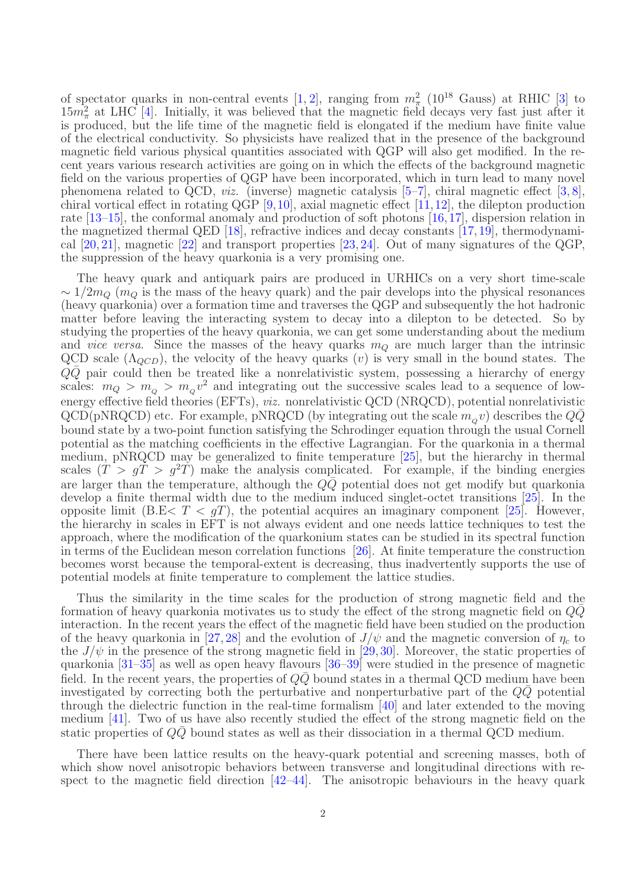of spectator quarks in non-central events [\[1,](#page-23-0) [2\]](#page-23-1), ranging from  $m_{\pi}^2$  (10<sup>18</sup> Gauss) at RHIC [\[3\]](#page-23-2) to  $15m_{\pi}^2$  at LHC [\[4\]](#page-23-3). Initially, it was believed that the magnetic field decays very fast just after it is produced, but the life time of the magnetic field is elongated if the medium have finite value of the electrical conductivity. So physicists have realized that in the presence of the background magnetic field various physical quantities associated with QGP will also get modified. In the recent years various research activities are going on in which the effects of the background magnetic field on the various properties of QGP have been incorporated, which in turn lead to many novel phenomena related to QCD, *viz.* (inverse) magnetic catalysis  $[5-7]$  $[5-7]$ , chiral magnetic effect  $[3, 8]$  $[3, 8]$ , chiral vortical effect in rotating QGP  $[9,10]$  $[9,10]$ , axial magnetic effect  $[11,12]$  $[11,12]$ , the dilepton production rate [\[13](#page-24-3)[–15\]](#page-24-4), the conformal anomaly and production of soft photons [\[16,](#page-24-5)[17\]](#page-24-6), dispersion relation in the magnetized thermal QED [\[18\]](#page-24-7), refractive indices and decay constants [\[17,](#page-24-6)[19\]](#page-24-8), thermodynamical [\[20,](#page-24-9) [21\]](#page-24-10), magnetic [\[22\]](#page-24-11) and transport properties [\[23,](#page-24-12) [24\]](#page-24-13). Out of many signatures of the QGP, the suppression of the heavy quarkonia is a very promising one.

The heavy quark and antiquark pairs are produced in URHICs on a very short time-scale  $\sim 1/2m_Q$  (m<sub>Q</sub> is the mass of the heavy quark) and the pair develops into the physical resonances (heavy quarkonia) over a formation time and traverses the QGP and subsequently the hot hadronic matter before leaving the interacting system to decay into a dilepton to be detected. So by studying the properties of the heavy quarkonia, we can get some understanding about the medium and *vice versa*. Since the masses of the heavy quarks  $m_Q$  are much larger than the intrinsic QCD scale  $(\Lambda_{QCD})$ , the velocity of the heavy quarks  $(v)$  is very small in the bound states. The  $Q\overline{Q}$  pair could then be treated like a nonrelativistic system, possessing a hierarchy of energy scales:  $m_Q > m_Q > m_q v^2$  and integrating out the successive scales lead to a sequence of lowenergy effective field theories (EFTs), viz. nonrelativistic QCD (NRQCD), potential nonrelativistic  $QCD(pNRQCD)$  etc. For example, pNRQCD (by integrating out the scale  $m_q v$ ) describes the  $Q\bar{Q}$ bound state by a two-point function satisfying the Schrodinger equation through the usual Cornell potential as the matching coefficients in the effective Lagrangian. For the quarkonia in a thermal medium, pNRQCD may be generalized to finite temperature [\[25\]](#page-24-14), but the hierarchy in thermal scales  $(T > qT > q^2T)$  make the analysis complicated. For example, if the binding energies are larger than the temperature, although the  $Q\overline{Q}$  potential does not get modify but quarkonia develop a finite thermal width due to the medium induced singlet-octet transitions [\[25\]](#page-24-14). In the opposite limit (B.E $\langle T \rangle \langle gT \rangle$ , the potential acquires an imaginary component [\[25\]](#page-24-14). However, the hierarchy in scales in EFT is not always evident and one needs lattice techniques to test the approach, where the modification of the quarkonium states can be studied in its spectral function in terms of the Euclidean meson correlation functions [\[26\]](#page-24-15). At finite temperature the construction becomes worst because the temporal-extent is decreasing, thus inadvertently supports the use of potential models at finite temperature to complement the lattice studies.

Thus the similarity in the time scales for the production of strong magnetic field and the formation of heavy quarkonia motivates us to study the effect of the strong magnetic field on  $Q\bar{Q}$ interaction. In the recent years the effect of the magnetic field have been studied on the production of the heavy quarkonia in [\[27,](#page-24-16) [28\]](#page-24-17) and the evolution of  $J/\psi$  and the magnetic conversion of  $\eta_c$  to the  $J/\psi$  in the presence of the strong magnetic field in [\[29,](#page-24-18)[30\]](#page-24-19). Moreover, the static properties of quarkonia [\[31](#page-24-20)[–35\]](#page-24-21) as well as open heavy flavours [\[36–](#page-24-22)[39\]](#page-25-2) were studied in the presence of magnetic field. In the recent years, the properties of  $Q\bar{Q}$  bound states in a thermal QCD medium have been investigated by correcting both the perturbative and nonperturbative part of the  $QQ$  potential through the dielectric function in the real-time formalism [\[40\]](#page-25-3) and later extended to the moving medium [\[41\]](#page-25-4). Two of us have also recently studied the effect of the strong magnetic field on the static properties of  $Q\bar{Q}$  bound states as well as their dissociation in a thermal QCD medium.

There have been lattice results on the heavy-quark potential and screening masses, both of which show novel anisotropic behaviors between transverse and longitudinal directions with respect to the magnetic field direction  $[42-44]$ . The anisotropic behaviours in the heavy quark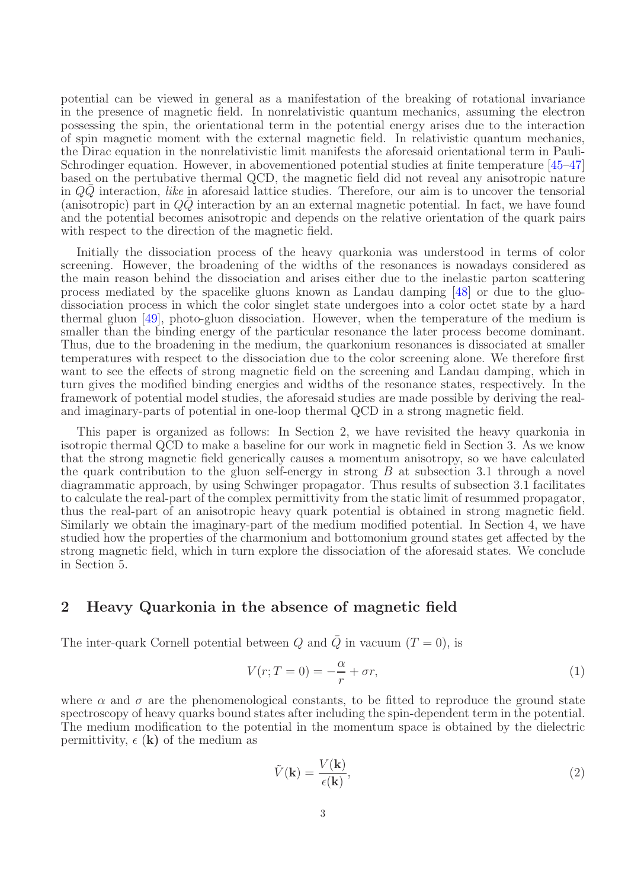potential can be viewed in general as a manifestation of the breaking of rotational invariance in the presence of magnetic field. In nonrelativistic quantum mechanics, assuming the electron possessing the spin, the orientational term in the potential energy arises due to the interaction of spin magnetic moment with the external magnetic field. In relativistic quantum mechanics, the Dirac equation in the nonrelativistic limit manifests the aforesaid orientational term in Pauli-Schrodinger equation. However, in abovementioned potential studies at finite temperature [\[45](#page-25-6)[–47\]](#page-25-7) based on the pertubative thermal QCD, the magnetic field did not reveal any anisotropic nature in  $Q\overline{Q}$  interaction, like in aforesaid lattice studies. Therefore, our aim is to uncover the tensorial (anisotropic) part in  $Q\bar{Q}$  interaction by an an external magnetic potential. In fact, we have found and the potential becomes anisotropic and depends on the relative orientation of the quark pairs with respect to the direction of the magnetic field.

Initially the dissociation process of the heavy quarkonia was understood in terms of color screening. However, the broadening of the widths of the resonances is nowadays considered as the main reason behind the dissociation and arises either due to the inelastic parton scattering process mediated by the spacelike gluons known as Landau damping [\[48\]](#page-25-8) or due to the gluodissociation process in which the color singlet state undergoes into a color octet state by a hard thermal gluon [\[49\]](#page-25-9), photo-gluon dissociation. However, when the temperature of the medium is smaller than the binding energy of the particular resonance the later process become dominant. Thus, due to the broadening in the medium, the quarkonium resonances is dissociated at smaller temperatures with respect to the dissociation due to the color screening alone. We therefore first want to see the effects of strong magnetic field on the screening and Landau damping, which in turn gives the modified binding energies and widths of the resonance states, respectively. In the framework of potential model studies, the aforesaid studies are made possible by deriving the realand imaginary-parts of potential in one-loop thermal QCD in a strong magnetic field.

This paper is organized as follows: In Section 2, we have revisited the heavy quarkonia in isotropic thermal QCD to make a baseline for our work in magnetic field in Section 3. As we know that the strong magnetic field generically causes a momentum anisotropy, so we have calculated the quark contribution to the gluon self-energy in strong  $B$  at subsection 3.1 through a novel diagrammatic approach, by using Schwinger propagator. Thus results of subsection 3.1 facilitates to calculate the real-part of the complex permittivity from the static limit of resummed propagator, thus the real-part of an anisotropic heavy quark potential is obtained in strong magnetic field. Similarly we obtain the imaginary-part of the medium modified potential. In Section 4, we have studied how the properties of the charmonium and bottomonium ground states get affected by the strong magnetic field, which in turn explore the dissociation of the aforesaid states. We conclude in Section 5.

# 2 Heavy Quarkonia in the absence of magnetic field

The inter-quark Cornell potential between Q and  $\overline{Q}$  in vacuum (T = 0), is

$$
V(r;T=0) = -\frac{\alpha}{r} + \sigma r,\tag{1}
$$

where  $\alpha$  and  $\sigma$  are the phenomenological constants, to be fitted to reproduce the ground state spectroscopy of heavy quarks bound states after including the spin-dependent term in the potential. The medium modification to the potential in the momentum space is obtained by the dielectric permittivity,  $\epsilon$  (k) of the medium as

<span id="page-2-0"></span>
$$
\tilde{V}(\mathbf{k}) = \frac{V(\mathbf{k})}{\epsilon(\mathbf{k})},\tag{2}
$$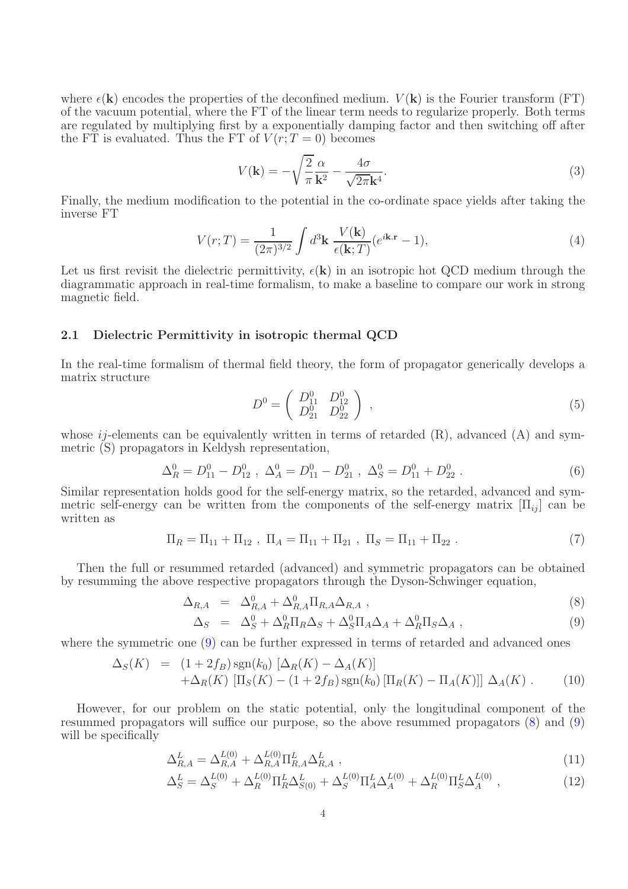where  $\epsilon(\mathbf{k})$  encodes the properties of the deconfined medium.  $V(\mathbf{k})$  is the Fourier transform (FT) of the vacuum potential, where the FT of the linear term needs to regularize properly. Both terms are regulated by multiplying first by a exponentially damping factor and then switching off after the FT is evaluated. Thus the FT of  $V(r; T = 0)$  becomes

$$
V(\mathbf{k}) = -\sqrt{\frac{2}{\pi}} \frac{\alpha}{\mathbf{k}^2} - \frac{4\sigma}{\sqrt{2\pi}\mathbf{k}^4}.
$$
\n(3)

Finally, the medium modification to the potential in the co-ordinate space yields after taking the inverse FT

$$
V(r;T) = \frac{1}{(2\pi)^{3/2}} \int d^3 \mathbf{k} \frac{V(\mathbf{k})}{\epsilon(\mathbf{k};T)} (e^{i\mathbf{k}.\mathbf{r}} - 1), \tag{4}
$$

Let us first revisit the dielectric permittivity,  $\epsilon(\mathbf{k})$  in an isotropic hot QCD medium through the diagrammatic approach in real-time formalism, to make a baseline to compare our work in strong magnetic field.

### 2.1 Dielectric Permittivity in isotropic thermal QCD

In the real-time formalism of thermal field theory, the form of propagator generically develops a matrix structure

$$
D^{0} = \begin{pmatrix} D_{11}^{0} & D_{12}^{0} \\ D_{21}^{0} & D_{22}^{0} \end{pmatrix} , \qquad (5)
$$

whose  $ij$ -elements can be equivalently written in terms of retarded  $(R)$ , advanced  $(A)$  and symmetric (S) propagators in Keldysh representation,

$$
\Delta_R^0 = D_{11}^0 - D_{12}^0 \ , \ \Delta_A^0 = D_{11}^0 - D_{21}^0 \ , \ \Delta_S^0 = D_{11}^0 + D_{22}^0 \ . \tag{6}
$$

Similar representation holds good for the self-energy matrix, so the retarded, advanced and symmetric self-energy can be written from the components of the self-energy matrix  $[\Pi_{ii}]$  can be written as

$$
\Pi_R = \Pi_{11} + \Pi_{12} , \ \Pi_A = \Pi_{11} + \Pi_{21} , \ \Pi_S = \Pi_{11} + \Pi_{22} . \tag{7}
$$

Then the full or resummed retarded (advanced) and symmetric propagators can be obtained by resumming the above respective propagators through the Dyson-Schwinger equation,

<span id="page-3-0"></span>
$$
\Delta_{R,A} = \Delta_{R,A}^0 + \Delta_{R,A}^0 \Pi_{R,A} \Delta_{R,A} , \qquad (8)
$$

$$
\Delta_S = \Delta_S^0 + \Delta_R^0 \Pi_R \Delta_S + \Delta_S^0 \Pi_A \Delta_A + \Delta_R^0 \Pi_S \Delta_A , \qquad (9)
$$

where the symmetric one [\(9\)](#page-3-0) can be further expressed in terms of retarded and advanced ones

$$
\Delta_S(K) = (1 + 2f_B) \operatorname{sgn}(k_0) \left[ \Delta_R(K) - \Delta_A(K) \right] \n+ \Delta_R(K) \left[ \Pi_S(K) - (1 + 2f_B) \operatorname{sgn}(k_0) \left[ \Pi_R(K) - \Pi_A(K) \right] \right] \Delta_A(K) .
$$
\n(10)

However, for our problem on the static potential, only the longitudinal component of the resummed propagators will suffice our purpose, so the above resummed propagators [\(8\)](#page-3-0) and [\(9\)](#page-3-0) will be specifically

$$
\Delta_{R,A}^L = \Delta_{R,A}^{L(0)} + \Delta_{R,A}^{L(0)} \Pi_{R,A}^L \Delta_{R,A}^L,
$$
\n(11)

$$
\Delta_S^L = \Delta_S^{L(0)} + \Delta_R^{L(0)} \Pi_R^L \Delta_{S(0)}^L + \Delta_S^{L(0)} \Pi_A^L \Delta_A^{L(0)} + \Delta_R^{L(0)} \Pi_S^L \Delta_A^{L(0)} , \qquad (12)
$$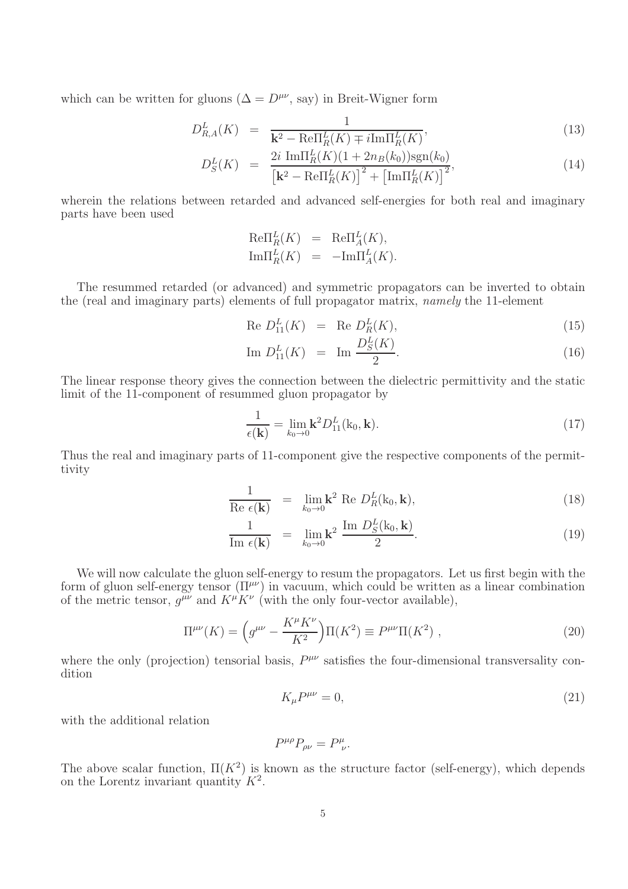which can be written for gluons ( $\Delta = D^{\mu\nu}$ , say) in Breit-Wigner form

<span id="page-4-0"></span>
$$
D_{R,A}^L(K) = \frac{1}{\mathbf{k}^2 - \text{Re}\Pi_R^L(K) \mp i\text{Im}\Pi_R^L(K)},\tag{13}
$$

$$
D_S^L(K) = \frac{2i \, \text{Im}\Pi_R^L(K)(1 + 2n_B(k_0))\text{sgn}(k_0)}{\left[\mathbf{k}^2 - \text{Re}\Pi_R^L(K)\right]^2 + \left[\text{Im}\Pi_R^L(K)\right]^2},\tag{14}
$$

wherein the relations between retarded and advanced self-energies for both real and imaginary parts have been used

$$
\begin{aligned}\n\text{Re}\Pi_R^L(K) &= \text{Re}\Pi_A^L(K), \\
\text{Im}\Pi_R^L(K) &= -\text{Im}\Pi_A^L(K).\n\end{aligned}
$$

The resummed retarded (or advanced) and symmetric propagators can be inverted to obtain the (real and imaginary parts) elements of full propagator matrix, namely the 11-element

<span id="page-4-1"></span>Re 
$$
D_{11}^L(K) = \text{Re } D_R^L(K)
$$
, (15)

Im 
$$
D_{11}^L(K) = \text{Im } \frac{D_S^L(K)}{2}
$$
. (16)

The linear response theory gives the connection between the dielectric permittivity and the static limit of the 11-component of resummed gluon propagator by

$$
\frac{1}{\epsilon(\mathbf{k})} = \lim_{k_0 \to 0} \mathbf{k}^2 D_{11}^L(\mathbf{k}_0, \mathbf{k}).\tag{17}
$$

Thus the real and imaginary parts of 11-component give the respective components of the permittivity

$$
\frac{1}{\text{Re }\epsilon(\mathbf{k})} = \lim_{k_0 \to 0} \mathbf{k}^2 \text{ Re } D_R^L(\mathbf{k}_0, \mathbf{k}), \tag{18}
$$

$$
\frac{1}{\operatorname{Im} \epsilon(\mathbf{k})} = \lim_{k_0 \to 0} \mathbf{k}^2 \frac{\operatorname{Im} D_S^L(\mathbf{k}_0, \mathbf{k})}{2}.
$$
 (19)

We will now calculate the gluon self-energy to resum the propagators. Let us first begin with the form of gluon self-energy tensor  $(\Pi^{\mu\nu})$  in vacuum, which could be written as a linear combination of the metric tensor,  $g^{\mu\nu}$  and  $K^{\mu}K^{\nu}$  (with the only four-vector available),

$$
\Pi^{\mu\nu}(K) = \left(g^{\mu\nu} - \frac{K^{\mu}K^{\nu}}{K^2}\right)\Pi(K^2) \equiv P^{\mu\nu}\Pi(K^2) ,\qquad (20)
$$

where the only (projection) tensorial basis,  $P^{\mu\nu}$  satisfies the four-dimensional transversality condition

$$
K_{\mu}P^{\mu\nu} = 0,\tag{21}
$$

with the additional relation

$$
P^{\mu\rho}P_{\rho\nu}=P^{\mu}_{\ \nu}.
$$

The above scalar function,  $\Pi(K^2)$  is known as the structure factor (self-energy), which depends on the Lorentz invariant quantity  $K^2$ .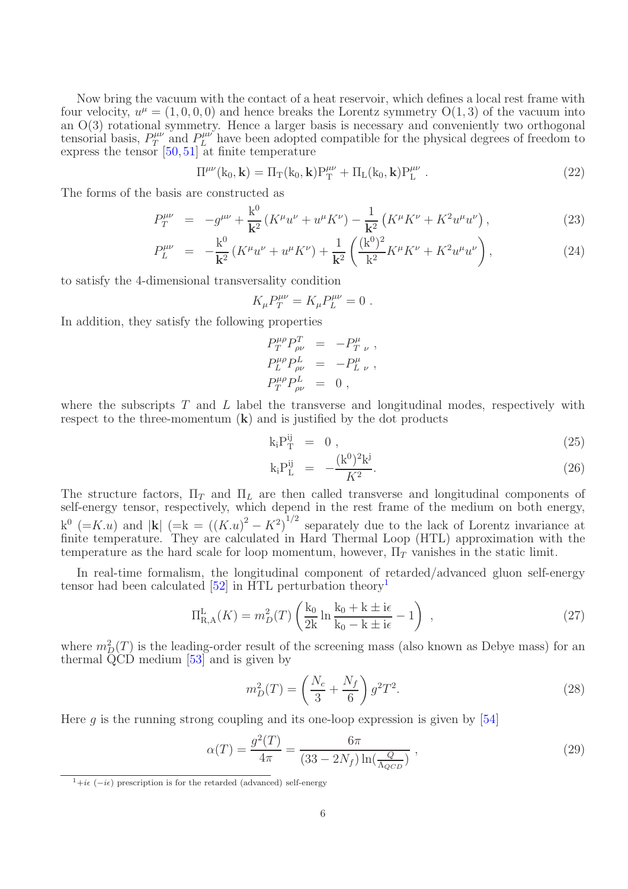Now bring the vacuum with the contact of a heat reservoir, which defines a local rest frame with four velocity,  $u^{\mu} = (1, 0, 0, 0)$  and hence breaks the Lorentz symmetry  $O(1, 3)$  of the vacuum into an O(3) rotational symmetry. Hence a larger basis is necessary and conveniently two orthogonal tensorial basis,  $P_T^{\mu\nu}$  $T^{\mu\nu}_{T}$  and  $P^{\mu\nu}_{L}$  have been adopted compatible for the physical degrees of freedom to express the tensor  $[50, 51]$  $[50, 51]$  at finite temperature

$$
\Pi^{\mu\nu}(k_0, \mathbf{k}) = \Pi_T(k_0, \mathbf{k}) P_T^{\mu\nu} + \Pi_L(k_0, \mathbf{k}) P_L^{\mu\nu} . \qquad (22)
$$

The forms of the basis are constructed as

$$
P_T^{\mu\nu} = -g^{\mu\nu} + \frac{k^0}{k^2} \left( K^\mu u^\nu + u^\mu K^\nu \right) - \frac{1}{k^2} \left( K^\mu K^\nu + K^2 u^\mu u^\nu \right),\tag{23}
$$

$$
P_L^{\mu\nu} = -\frac{k^0}{k^2} \left( K^{\mu} u^{\nu} + u^{\mu} K^{\nu} \right) + \frac{1}{k^2} \left( \frac{(k^0)^2}{k^2} K^{\mu} K^{\nu} + K^2 u^{\mu} u^{\nu} \right), \tag{24}
$$

to satisfy the 4-dimensional transversality condition

$$
K_{\mu}P_{T}^{\mu\nu} = K_{\mu}P_{L}^{\mu\nu} = 0.
$$

In addition, they satisfy the following properties

$$
P_T^{\mu \rho} P_{\rho \nu}^T = -P_{T \ \nu}^{\mu} , P_L^{\mu \rho} P_{\rho \nu}^L = -P_{L \ \nu}^{\mu} , P_T^{\mu \rho} P_{\rho \nu}^L = 0 ,
$$

where the subscripts  $T$  and  $L$  label the transverse and longitudinal modes, respectively with respect to the three-momentum  $(k)$  and is justified by the dot products

$$
k_i P_T^{ij} = 0 , \t\t(25)
$$

$$
k_i P_L^{ij} = -\frac{(k^0)^2 k^j}{K^2}.
$$
\n(26)

The structure factors,  $\Pi_T$  and  $\Pi_L$  are then called transverse and longitudinal components of self-energy tensor, respectively, which depend in the rest frame of the medium on both energy,  $k^0$  (=K.u) and |k| (=k =  $((K.u)^2 - K^2)^{1/2}$  separately due to the lack of Lorentz invariance at finite temperature. They are calculated in Hard Thermal Loop (HTL) approximation with the temperature as the hard scale for loop momentum, however,  $\Pi_T$  vanishes in the static limit.

In real-time formalism, the longitudinal component of retarded/advanced gluon self-energy tensor had been calculated  $[52]$  in HTL perturbation theory<sup>[1](#page-5-0)</sup>

<span id="page-5-1"></span>
$$
\Pi_{R,A}^{L}(K) = m_D^2(T) \left( \frac{k_0}{2k} \ln \frac{k_0 + k \pm i\epsilon}{k_0 - k \pm i\epsilon} - 1 \right) ,
$$
 (27)

where  $m_D^2(T)$  is the leading-order result of the screening mass (also known as Debye mass) for an thermal QCD medium [\[53\]](#page-25-13) and is given by

$$
m_D^2(T) = \left(\frac{N_c}{3} + \frac{N_f}{6}\right) g^2 T^2.
$$
\n(28)

Here g is the running strong coupling and its one-loop expression is given by  $|54|$ 

$$
\alpha(T) = \frac{g^2(T)}{4\pi} = \frac{6\pi}{(33 - 2N_f)\ln(\frac{Q}{\Lambda_{QCD}})},
$$
\n(29)

<span id="page-5-0"></span> $1+i\epsilon$  ( $-i\epsilon$ ) prescription is for the retarded (advanced) self-energy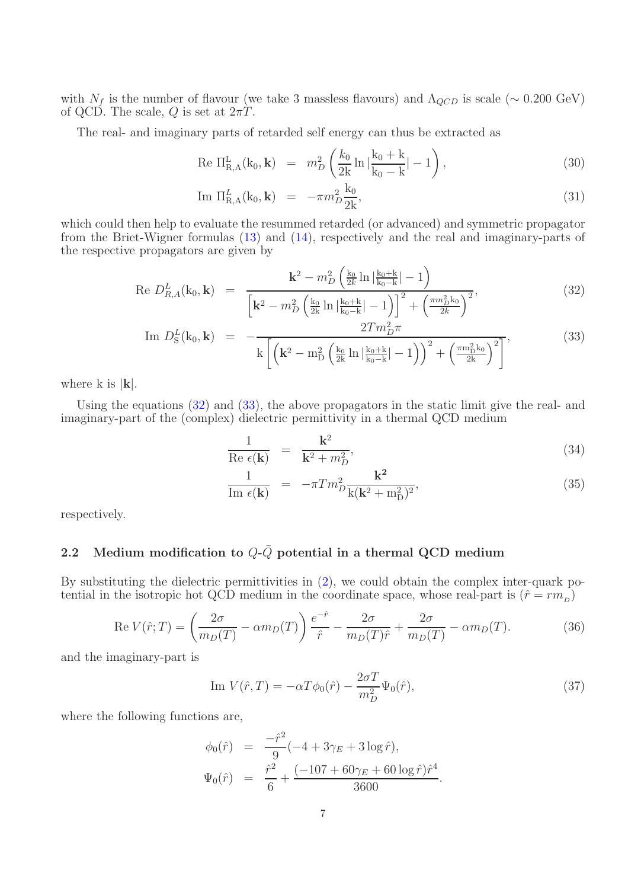with  $N_f$  is the number of flavour (we take 3 massless flavours) and  $\Lambda_{QCD}$  is scale (~ 0.200 GeV) of QCD. The scale, Q is set at  $2\pi T$ .

The real- and imaginary parts of retarded self energy can thus be extracted as

Re 
$$
\Pi_{R,A}^{L}(k_0, \mathbf{k}) = m_D^2 \left( \frac{k_0}{2k} \ln \left| \frac{k_0 + k}{k_0 - k} \right| - 1 \right),
$$
 (30)

Im 
$$
\Pi_{R,A}^L(k_0, \mathbf{k}) = -\pi m_D^2 \frac{k_0}{2k}
$$
, (31)

which could then help to evaluate the resummed retarded (or advanced) and symmetric propagator from the Briet-Wigner formulas [\(13\)](#page-4-0) and [\(14\)](#page-4-0), respectively and the real and imaginary-parts of the respective propagators are given by

<span id="page-6-0"></span>Re 
$$
D_{R,A}^L(\mathbf{k}_0, \mathbf{k}) = \frac{\mathbf{k}^2 - m_D^2 \left(\frac{\mathbf{k}_0}{2k} \ln \left| \frac{\mathbf{k}_0 + \mathbf{k}}{\mathbf{k}_0 - \mathbf{k}} \right| - 1\right)}{\left[\mathbf{k}^2 - m_D^2 \left(\frac{\mathbf{k}_0}{2k} \ln \left| \frac{\mathbf{k}_0 + \mathbf{k}}{\mathbf{k}_0 - \mathbf{k}} \right| - 1\right)\right]^2 + \left(\frac{\pi m_D^2 \mathbf{k}_0}{2k}\right)^2},
$$
\n(32)

Im 
$$
D_S^L(\mathbf{k}_0, \mathbf{k}) = -\frac{2Tm_D^2 \pi}{k \left[ \left( \mathbf{k}^2 - m_D^2 \left( \frac{\mathbf{k}_0}{2k} \ln |\frac{\mathbf{k}_0 + \mathbf{k}}{\mathbf{k}_0 - \mathbf{k}}| - 1 \right) \right)^2 + \left( \frac{\pi m_D^2 \mathbf{k}_0}{2k} \right)^2 \right]},
$$
 (33)

where k is  $|\mathbf{k}|$ .

Using the equations [\(32\)](#page-6-0) and [\(33\)](#page-6-0), the above propagators in the static limit give the real- and imaginary-part of the (complex) dielectric permittivity in a thermal QCD medium

$$
\frac{1}{\text{Re }\epsilon(\mathbf{k})} = \frac{\mathbf{k}^2}{\mathbf{k}^2 + m_D^2},\tag{34}
$$

$$
\frac{1}{\operatorname{Im} \epsilon(\mathbf{k})} = -\pi T m_D^2 \frac{\mathbf{k}^2}{\mathbf{k}(\mathbf{k}^2 + \mathbf{m}_D^2)^2},\tag{35}
$$

respectively.

## 2.2 Medium modification to  $Q\text{-}\bar{Q}$  potential in a thermal QCD medium

By substituting the dielectric permittivities in [\(2\)](#page-2-0), we could obtain the complex inter-quark potential in the isotropic hot QCD medium in the coordinate space, whose real-part is  $(\hat{r} = rm_{D})$ 

$$
\operatorname{Re} V(\hat{r};T) = \left(\frac{2\sigma}{m_D(T)} - \alpha m_D(T)\right) \frac{e^{-\hat{r}}}{\hat{r}} - \frac{2\sigma}{m_D(T)\hat{r}} + \frac{2\sigma}{m_D(T)} - \alpha m_D(T). \tag{36}
$$

and the imaginary-part is

Im 
$$
V(\hat{r}, T) = -\alpha T \phi_0(\hat{r}) - \frac{2\sigma T}{m_D^2} \Psi_0(\hat{r}),
$$
 (37)

where the following functions are,

$$
\varphi_0(\hat{r}) = \frac{-\hat{r}^2}{9}(-4 + 3\gamma_E + 3\log \hat{r}),
$$
  

$$
\Psi_0(\hat{r}) = \frac{\hat{r}^2}{6} + \frac{(-107 + 60\gamma_E + 60\log \hat{r})\hat{r}^4}{3600}.
$$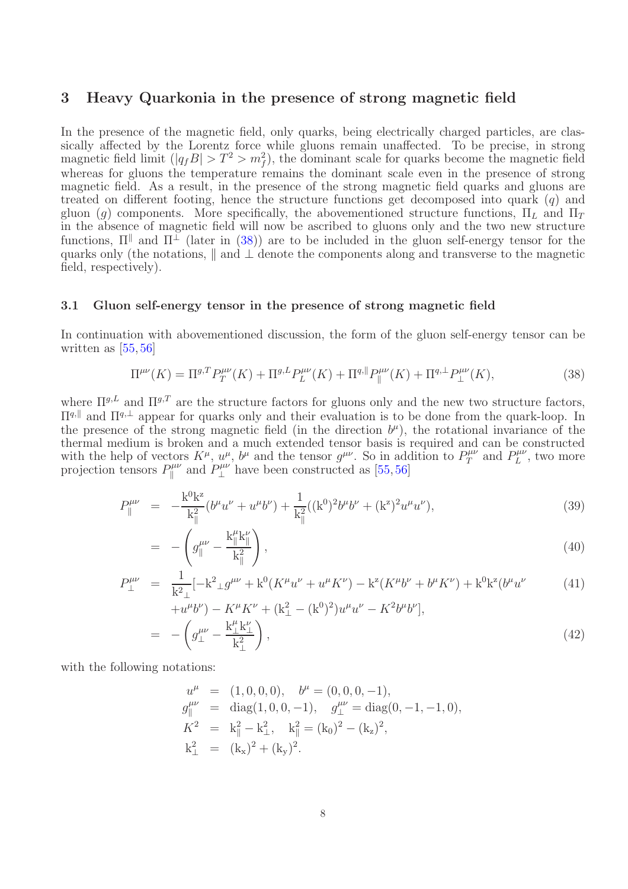## 3 Heavy Quarkonia in the presence of strong magnetic field

In the presence of the magnetic field, only quarks, being electrically charged particles, are classically affected by the Lorentz force while gluons remain unaffected. To be precise, in strong magnetic field limit  $(|q_f B| > T^2 > m_f^2)$ , the dominant scale for quarks become the magnetic field whereas for gluons the temperature remains the dominant scale even in the presence of strong magnetic field. As a result, in the presence of the strong magnetic field quarks and gluons are treated on different footing, hence the structure functions get decomposed into quark  $(q)$  and gluon (g) components. More specifically, the abovementioned structure functions,  $\Pi_L$  and  $\Pi_T$ in the absence of magnetic field will now be ascribed to gluons only and the two new structure functions,  $\Pi^{\parallel}$  and  $\Pi^{\perp}$  (later in [\(38\)](#page-7-0)) are to be included in the gluon self-energy tensor for the quarks only (the notations,  $\parallel$  and  $\perp$  denote the components along and transverse to the magnetic field, respectively).

### 3.1 Gluon self-energy tensor in the presence of strong magnetic field

In continuation with abovementioned discussion, the form of the gluon self-energy tensor can be written as [\[55,](#page-25-15) [56\]](#page-25-16)

<span id="page-7-0"></span>
$$
\Pi^{\mu\nu}(K) = \Pi^{g,T} P_T^{\mu\nu}(K) + \Pi^{g,L} P_L^{\mu\nu}(K) + \Pi^{g,\parallel} P_{\parallel}^{\mu\nu}(K) + \Pi^{g,\perp} P_{\perp}^{\mu\nu}(K),\tag{38}
$$

where  $\Pi^{g,L}$  and  $\Pi^{g,T}$  are the structure factors for gluons only and the new two structure factors,  $\Pi<sup>q, \|</sup>$  and  $\Pi<sup>q, \perp</sup>$  appear for quarks only and their evaluation is to be done from the quark-loop. In the presence of the strong magnetic field (in the direction  $b^{\mu}$ ), the rotational invariance of the thermal medium is broken and a much extended tensor basis is required and can be constructed with the help of vectors  $K^{\mu}$ ,  $u^{\mu}$ ,  $b^{\mu}$  and the tensor  $g^{\mu\nu}$ . So in addition to  $P_T^{\mu\nu}$  $T^{\mu\nu}$  and  $P^{\mu\nu}_L$  $L^{\mu\nu}$ , two more projection tensors  $P_{\parallel}^{\mu\nu}$  $\int_{\parallel}^{\mu\nu}$  and  $P_{\perp}^{\mu\nu}$  $\perp^{\mu\nu}$  have been constructed as [\[55,](#page-25-15)[56\]](#page-25-16)

$$
P_{\parallel}^{\mu\nu} = -\frac{k^0 k^z}{k_{\parallel}^2} (b^{\mu} u^{\nu} + u^{\mu} b^{\nu}) + \frac{1}{k_{\parallel}^2} ((k^0)^2 b^{\mu} b^{\nu} + (k^z)^2 u^{\mu} u^{\nu}), \tag{39}
$$

$$
= -\left(g_{\parallel}^{\mu\nu} - \frac{k_{\parallel}^{\mu}k_{\parallel}^{\nu}}{k_{\parallel}^{2}}\right), \tag{40}
$$

$$
P_{\perp}^{\mu\nu} = \frac{1}{k^2 \perp} [-k^2 \perp g^{\mu\nu} + k^0 (K^\mu u^\nu + u^\mu K^\nu) - k^z (K^\mu b^\nu + b^\mu K^\nu) + k^0 k^z (b^\mu u^\nu) \tag{41}
$$

$$
+u^{\mu}b^{\nu}\rangle - K^{\mu}K^{\nu} + (\mathbf{k}_{\perp}^{2} - (\mathbf{k}^{0})^{2})u^{\mu}u^{\nu} - K^{2}b^{\mu}b^{\nu}],
$$
  
= 
$$
- \left(g_{\perp}^{\mu\nu} - \frac{\mathbf{k}_{\perp}^{\mu}\mathbf{k}_{\perp}^{\nu}}{\mathbf{k}_{\perp}^{2}}\right),
$$
 (42)

with the following notations:

$$
u^{\mu} = (1, 0, 0, 0), \quad b^{\mu} = (0, 0, 0, -1),
$$
  
\n
$$
g_{\parallel}^{\mu\nu} = \text{diag}(1, 0, 0, -1), \quad g_{\perp}^{\mu\nu} = \text{diag}(0, -1, -1, 0),
$$
  
\n
$$
K^2 = k_{\parallel}^2 - k_{\perp}^2, \quad k_{\parallel}^2 = (k_0)^2 - (k_z)^2,
$$
  
\n
$$
k_{\perp}^2 = (k_x)^2 + (k_y)^2.
$$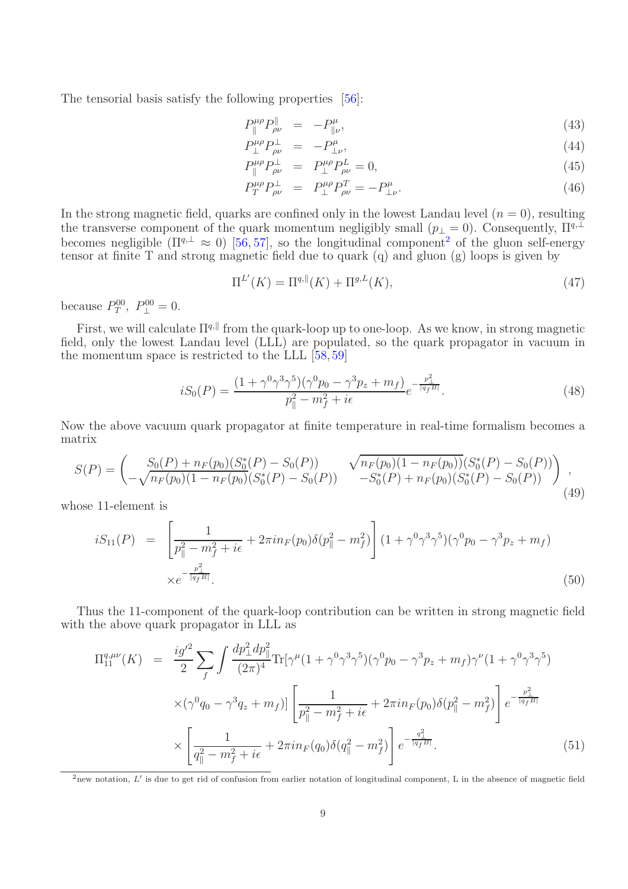The tensorial basis satisfy the following properties [\[56\]](#page-25-16):

$$
P_{\parallel}^{\mu\rho} P_{\rho\nu}^{\parallel} = -P_{\parallel\nu}^{\mu}, \tag{43}
$$

$$
P_{\perp}^{\mu\rho} P_{\rho\nu}^{\perp} = -P_{\perp\nu}^{\mu}, \tag{44}
$$

$$
P_{\parallel}^{\mu\rho} P_{\rho\nu}^{\perp} = P_{\perp}^{\mu\rho} P_{\rho\nu}^{L} = 0, \qquad (45)
$$

$$
P_T^{\mu\rho} P_{\rho\nu}^{\perp} = P_{\perp}^{\mu\rho} P_{\rho\nu}^T = -P_{\perp\nu}^{\mu}.
$$
 (46)

In the strong magnetic field, quarks are confined only in the lowest Landau level  $(n = 0)$ , resulting the transverse component of the quark momentum negligibly small ( $p_{\perp} = 0$ ). Consequently,  $\Pi^{q,\perp}$ becomes negligible  $(\Pi^{q,\perp} \approx 0)$  [\[56,](#page-25-16) [57\]](#page-25-17), so the longitudinal component<sup>[2](#page-8-0)</sup> of the gluon self-energy tensor at finite T and strong magnetic field due to quark (q) and gluon (g) loops is given by

$$
\Pi^{L'}(K) = \Pi^{q, \|}(K) + \Pi^{g, L}(K),\tag{47}
$$

because  $P_T^{00}$ ,  $P_{\perp}^{00} = 0$ .

First, we will calculate  $\Pi^{q,\parallel}$  from the quark-loop up to one-loop. As we know, in strong magnetic field, only the lowest Landau level (LLL) are populated, so the quark propagator in vacuum in the momentum space is restricted to the LLL [\[58,](#page-25-18) [59\]](#page-25-19)

$$
iS_0(P) = \frac{(1 + \gamma^0 \gamma^3 \gamma^5)(\gamma^0 p_0 - \gamma^3 p_z + m_f)}{p_{\parallel}^2 - m_f^2 + i\epsilon} e^{-\frac{p_{\perp}^2}{|q_f B|}}.
$$
(48)

Now the above vacuum quark propagator at finite temperature in real-time formalism becomes a matrix

$$
S(P) = \begin{pmatrix} S_0(P) + n_F(p_0)(S_0^*(P) - S_0(P)) & \sqrt{n_F(p_0)(1 - n_F(p_0))}(S_0^*(P) - S_0(P)) \\ -\sqrt{n_F(p_0)(1 - n_F(p_0)(S_0^*(P) - S_0(P))} & -S_0^*(P) + n_F(p_0)(S_0^*(P) - S_0(P)) \end{pmatrix},
$$
\n(49)

whose 11-element is

<span id="page-8-1"></span>
$$
iS_{11}(P) = \left[\frac{1}{p_{\parallel}^2 - m_f^2 + i\epsilon} + 2\pi i n_F(p_0)\delta(p_{\parallel}^2 - m_f^2)\right] (1 + \gamma^0 \gamma^3 \gamma^5)(\gamma^0 p_0 - \gamma^3 p_z + m_f)
$$
  
 
$$
\times e^{-\frac{p_{\perp}^2}{|q_f B|}}.
$$
 (50)

Thus the 11-component of the quark-loop contribution can be written in strong magnetic field with the above quark propagator in LLL as

<span id="page-8-2"></span>
$$
\Pi_{11}^{q,\mu\nu}(K) = \frac{ig'^2}{2} \sum_{f} \int \frac{dp_{\perp}^2 dp_{\parallel}^2}{(2\pi)^4} \text{Tr}[\gamma^{\mu}(1+\gamma^0\gamma^3\gamma^5)(\gamma^0 p_0 - \gamma^3 p_z + m_f)\gamma^{\nu}(1+\gamma^0\gamma^3\gamma^5) \times (\gamma^0 q_0 - \gamma^3 q_z + m_f)] \left[ \frac{1}{p_{\parallel}^2 - m_f^2 + i\epsilon} + 2\pi i n_F(p_0)\delta(p_{\parallel}^2 - m_f^2) \right] e^{-\frac{p_{\perp}^2}{|q_f B|}} \times \left[ \frac{1}{q_{\parallel}^2 - m_f^2 + i\epsilon} + 2\pi i n_F(q_0)\delta(q_{\parallel}^2 - m_f^2) \right] e^{-\frac{q_{\perp}^2}{|q_f B|}}.
$$
\n(51)

<span id="page-8-0"></span> $^{2}$ new notation, L' is due to get rid of confusion from earlier notation of longitudinal component, L in the absence of magnetic field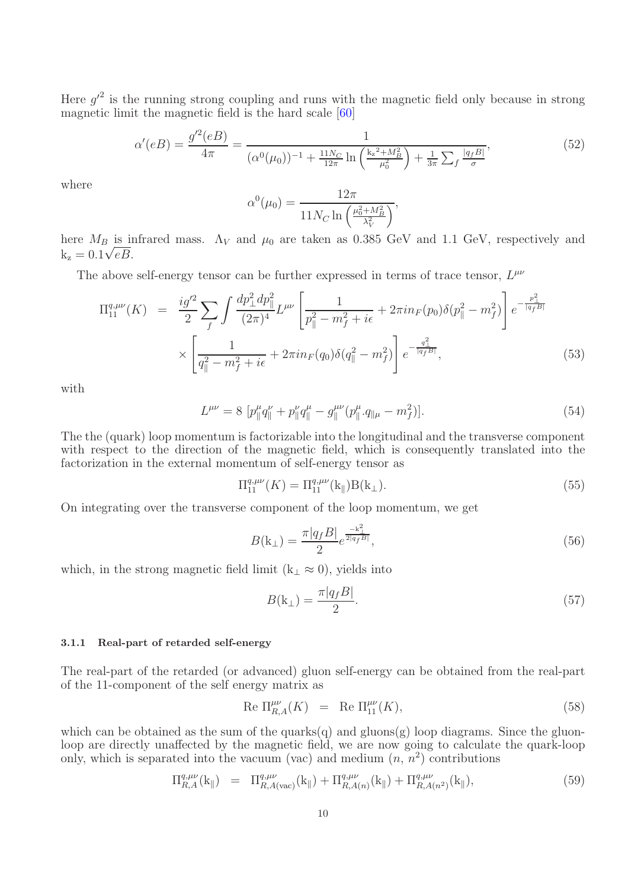Here  $g^2$  is the running strong coupling and runs with the magnetic field only because in strong magnetic limit the magnetic field is the hard scale [\[60\]](#page-25-20)

$$
\alpha'(eB) = \frac{g'^2(eB)}{4\pi} = \frac{1}{(\alpha^0(\mu_0))^{-1} + \frac{11N_C}{12\pi} \ln\left(\frac{k_z^2 + M_B^2}{\mu_0^2}\right) + \frac{1}{3\pi} \sum_f \frac{|q_f B|}{\sigma}},\tag{52}
$$

where

$$
\alpha^{0}(\mu_0) = \frac{12\pi}{11N_C \ln\left(\frac{\mu_0^2 + M_B^2}{\lambda_V^2}\right)},
$$

here  $M_B$  is infrared mass.  $\Lambda_V$  and  $\mu_0$  are taken as 0.385 GeV and 1.1 GeV, respectively and  $k_z = 0.1\sqrt{eB}$ .

The above self-energy tensor can be further expressed in terms of trace tensor,  $L^{\mu\nu}$ 

$$
\Pi_{11}^{q,\mu\nu}(K) = \frac{ig^{\prime 2}}{2} \sum_{f} \int \frac{dp_{\perp}^{2} dp_{\parallel}^{2}}{(2\pi)^{4}} L^{\mu\nu} \left[ \frac{1}{p_{\parallel}^{2} - m_{f}^{2} + i\epsilon} + 2\pi i n_{F}(p_{0}) \delta(p_{\parallel}^{2} - m_{f}^{2}) \right] e^{-\frac{p_{\perp}^{2}}{|q_{f}B|}} \times \left[ \frac{1}{q_{\parallel}^{2} - m_{f}^{2} + i\epsilon} + 2\pi i n_{F}(q_{0}) \delta(q_{\parallel}^{2} - m_{f}^{2}) \right] e^{-\frac{q_{\perp}^{2}}{|q_{f}B|}}, \tag{53}
$$

with

$$
L^{\mu\nu} = 8 \left[ p_{\parallel}^{\mu} q_{\parallel}^{\nu} + p_{\parallel}^{\nu} q_{\parallel}^{\mu} - g_{\parallel}^{\mu\nu} (p_{\parallel}^{\mu} \cdot q_{\parallel \mu} - m_f^2) \right]. \tag{54}
$$

The the (quark) loop momentum is factorizable into the longitudinal and the transverse component with respect to the direction of the magnetic field, which is consequently translated into the factorization in the external momentum of self-energy tensor as

$$
\Pi_{11}^{q,\mu\nu}(K) = \Pi_{11}^{q,\mu\nu}(\mathbf{k}_{\parallel}) \mathbf{B}(\mathbf{k}_{\perp}).
$$
\n(55)

On integrating over the transverse component of the loop momentum, we get

$$
B(\mathbf{k}_{\perp}) = \frac{\pi |q_f B|}{2} e^{\frac{-\mathbf{k}_{\perp}^2}{2|q_f B|}},\tag{56}
$$

which, in the strong magnetic field limit ( $k<sub>⊥</sub> \approx 0$ ), yields into

<span id="page-9-0"></span>
$$
B(\mathbf{k}_{\perp}) = \frac{\pi|q_f B|}{2}.\tag{57}
$$

#### 3.1.1 Real-part of retarded self-energy

The real-part of the retarded (or advanced) gluon self-energy can be obtained from the real-part of the 11-component of the self energy matrix as

Re 
$$
\Pi_{R,A}^{\mu\nu}(K) = \text{Re } \Pi_{11}^{\mu\nu}(K),
$$
 (58)

which can be obtained as the sum of the quarks $(q)$  and gluons $(g)$  loop diagrams. Since the gluonloop are directly unaffected by the magnetic field, we are now going to calculate the quark-loop only, which is separated into the vacuum (vac) and medium  $(n, n^2)$  contributions

$$
\Pi_{R,A}^{q,\mu\nu}(k_{\parallel}) = \Pi_{R,A(\text{vac})}^{q,\mu\nu}(k_{\parallel}) + \Pi_{R,A(n)}^{q,\mu\nu}(k_{\parallel}) + \Pi_{R,A(n^{2})}^{q,\mu\nu}(k_{\parallel}), \tag{59}
$$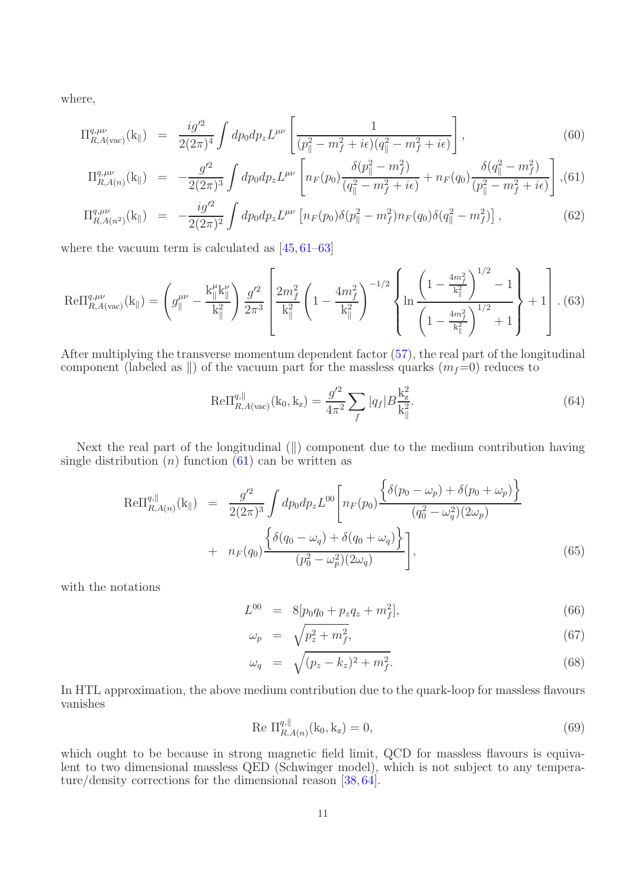where,

<span id="page-10-0"></span>
$$
\Pi_{R,A(\text{vac})}^{q,\mu\nu}(\mathbf{k}_{\parallel}) = \frac{i g'^2}{2(2\pi)^4} \int dp_0 dp_z L^{\mu\nu} \left[ \frac{1}{(p_{\parallel}^2 - m_f^2 + i\epsilon)(q_{\parallel}^2 - m_f^2 + i\epsilon)} \right],
$$
\n(60)

$$
\Pi_{R,A(n)}^{q,\mu\nu}(\mathbf{k}_{\parallel}) = -\frac{g^{\prime 2}}{2(2\pi)^3} \int dp_0 dp_z L^{\mu\nu} \left[ n_F(p_0) \frac{\delta(p_{\parallel}^2 - m_f^2)}{(q_{\parallel}^2 - m_f^2 + i\epsilon)} + n_F(q_0) \frac{\delta(q_{\parallel}^2 - m_f^2)}{(p_{\parallel}^2 - m_f^2 + i\epsilon)} \right],
$$
(61)

$$
\Pi_{R,A(n^2)}^{q,\mu\nu}(\mathbf{k}_{\parallel}) = -\frac{ig'^2}{2(2\pi)^2} \int dp_0 dp_z L^{\mu\nu} \left[ n_F(p_0) \delta(p_{\parallel}^2 - m_f^2) n_F(q_0) \delta(q_{\parallel}^2 - m_f^2) \right],\tag{62}
$$

where the vacuum term is calculated as  $[45, 61-63]$  $[45, 61-63]$ 

$$
\text{Re}\Pi_{R,A(\text{vac})}^{q,\mu\nu}(\mathbf{k}_{\parallel}) = \left(g_{\parallel}^{\mu\nu} - \frac{\mathbf{k}_{\parallel}^{\mu}\mathbf{k}_{\parallel}^{\nu}}{\mathbf{k}_{\parallel}^{2}}\right) \frac{g^{\prime 2}}{2\pi^{3}} \left[\frac{2m_{f}^{2}}{\mathbf{k}_{\parallel}^{2}} \left(1 - \frac{4m_{f}^{2}}{\mathbf{k}_{\parallel}^{2}}\right)^{-1/2} \left\{\ln\frac{\left(1 - \frac{4m_{f}^{2}}{\mathbf{k}_{\parallel}^{2}}\right)^{1/2} - 1}{\left(1 - \frac{4m_{f}^{2}}{\mathbf{k}_{\parallel}^{2}}\right)^{1/2} + 1}\right\} + 1\right].
$$
 (63)

After multiplying the transverse momentum dependent factor [\(57\)](#page-9-0), the real part of the longitudinal component (labeled as  $\parallel$ ) of the vacuum part for the massless quarks  $(m_f=0)$  reduces to

$$
\text{Re}\Pi_{R,A(\text{vac})}^{q,\parallel}(\mathbf{k}_0,\mathbf{k}_z) = \frac{g'^2}{4\pi^2} \sum_f |q_f| B \frac{\mathbf{k}_z^2}{\mathbf{k}_\parallel^2}.
$$
 (64)

Next the real part of the longitudinal  $(\parallel)$  component due to the medium contribution having single distribution  $(n)$  function  $(61)$  can be written as

$$
\text{Re}\Pi_{R,A(n)}^{q,||}(k_{||}) = \frac{g'^2}{2(2\pi)^3} \int dp_0 dp_z L^{00} \left[ n_F(p_0) \frac{\left\{ \delta(p_0 - \omega_p) + \delta(p_0 + \omega_p) \right\}}{(q_0^2 - \omega_q^2)(2\omega_p)} \right. \\
\left. + n_F(q_0) \frac{\left\{ \delta(q_0 - \omega_q) + \delta(q_0 + \omega_q) \right\}}{(p_0^2 - \omega_p^2)(2\omega_q)} \right],
$$
\n(65)

with the notations

$$
L^{00} = 8[p_0 q_0 + p_z q_z + m_f^2], \tag{66}
$$

$$
\omega_p = \sqrt{p_z^2 + m_f^2},\tag{67}
$$

$$
\omega_q = \sqrt{(p_z - k_z)^2 + m_f^2}.
$$
\n(68)

In HTL approximation, the above medium contribution due to the quark-loop for massless flavours vanishes

Re 
$$
\Pi_{R,A(n)}^{q,||}(k_0, k_z) = 0,
$$
 (69)

which ought to be because in strong magnetic field limit, QCD for massless flavours is equivalent to two dimensional massless QED (Schwinger model), which is not subject to any temperature/density corrections for the dimensional reason [\[38,](#page-24-23) [64\]](#page-25-23).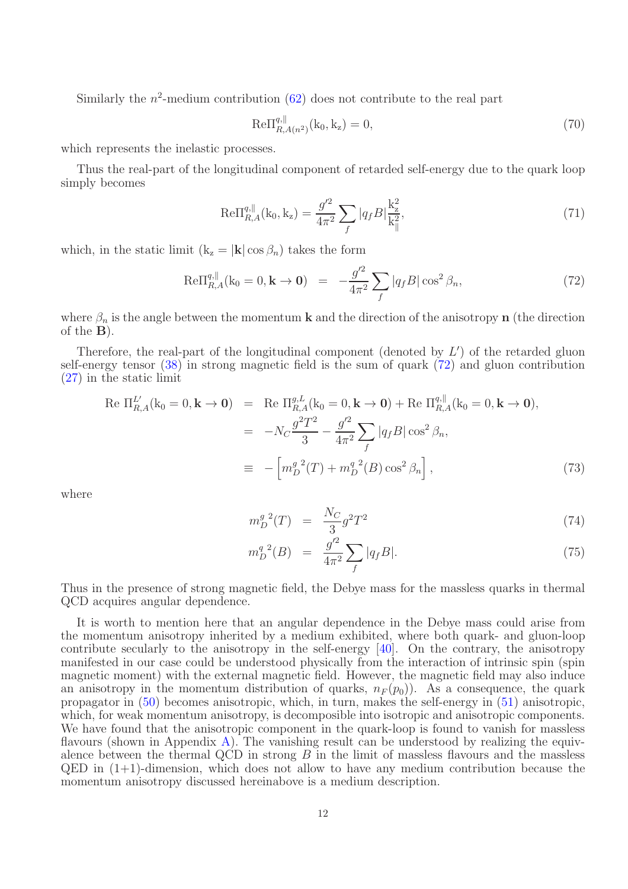Similarly the  $n^2$ -medium contribution  $(62)$  does not contribute to the real part

$$
Re\Pi_{R,A(n^2)}^{q,||}(k_0, k_z) = 0,
$$
\n(70)

which represents the inelastic processes.

Thus the real-part of the longitudinal component of retarded self-energy due to the quark loop simply becomes

$$
\text{Re}\Pi_{R,A}^{q,\parallel}(\mathbf{k}_0,\mathbf{k}_z) = \frac{g'^2}{4\pi^2} \sum_f |q_f B| \frac{\mathbf{k}_z^2}{\mathbf{k}_\parallel^2},\tag{71}
$$

which, in the static limit  $(k_z = |k| \cos \beta_n)$  takes the form

<span id="page-11-0"></span>
$$
\text{Re}\Pi_{R,A}^{q,\parallel}(\mathbf{k}_0 = 0, \mathbf{k} \to \mathbf{0}) = -\frac{g^{\prime 2}}{4\pi^2} \sum_{f} |q_f B| \cos^2 \beta_n, \tag{72}
$$

where  $\beta_n$  is the angle between the momentum **k** and the direction of the anisotropy **n** (the direction of the B).

Therefore, the real-part of the longitudinal component (denoted by  $L'$ ) of the retarded gluon self-energy tensor [\(38\)](#page-7-0) in strong magnetic field is the sum of quark [\(72\)](#page-11-0) and gluon contribution [\(27\)](#page-5-1) in the static limit

<span id="page-11-1"></span>
$$
\begin{aligned}\n\text{Re } \Pi_{R,A}^{L'}(\mathbf{k}_0 = 0, \mathbf{k} \to \mathbf{0}) &= \text{Re } \Pi_{R,A}^{g,L}(\mathbf{k}_0 = 0, \mathbf{k} \to \mathbf{0}) + \text{Re } \Pi_{R,A}^{g,\parallel}(\mathbf{k}_0 = 0, \mathbf{k} \to \mathbf{0}), \\
&= -N_C \frac{g^2 T^2}{3} - \frac{g'^2}{4\pi^2} \sum_f |q_f B| \cos^2 \beta_n, \\
&\equiv -\left[m_D^g{}^2(T) + m_D^g{}^2(B) \cos^2 \beta_n\right],\n\end{aligned} \tag{73}
$$

where

$$
m_D^{g~2}(T) = \frac{N_C}{3}g^2T^2 \tag{74}
$$

$$
m_D^{q \ 2}(B) = \frac{g^{\prime 2}}{4\pi^2} \sum_f |q_f B|.
$$
 (75)

Thus in the presence of strong magnetic field, the Debye mass for the massless quarks in thermal QCD acquires angular dependence.

It is worth to mention here that an angular dependence in the Debye mass could arise from the momentum anisotropy inherited by a medium exhibited, where both quark- and gluon-loop contribute secularly to the anisotropy in the self-energy [\[40\]](#page-25-3). On the contrary, the anisotropy manifested in our case could be understood physically from the interaction of intrinsic spin (spin magnetic moment) with the external magnetic field. However, the magnetic field may also induce an anisotropy in the momentum distribution of quarks,  $n_F (p_0)$ ). As a consequence, the quark propagator in [\(50\)](#page-8-1) becomes anisotropic, which, in turn, makes the self-energy in [\(51\)](#page-8-2) anisotropic, which, for weak momentum anisotropy, is decomposible into isotropic and anisotropic components. We have found that the anisotropic component in the quark-loop is found to vanish for massless flavours (shown in Appendix [A\)](#page-22-0). The vanishing result can be understood by realizing the equivalence between the thermal QCD in strong  $B$  in the limit of massless flavours and the massless  $QED$  in  $(1+1)$ -dimension, which does not allow to have any medium contribution because the momentum anisotropy discussed hereinabove is a medium description.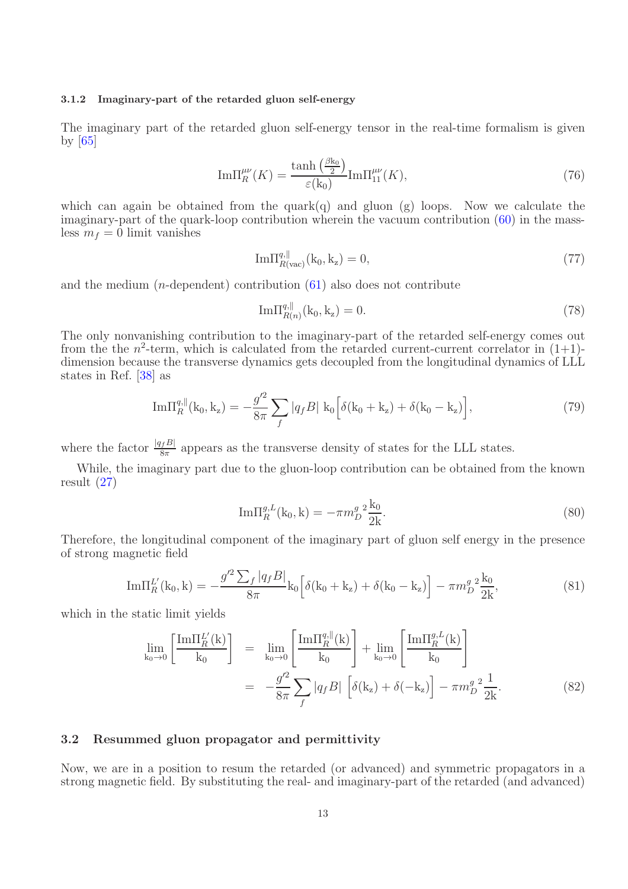#### 3.1.2 Imaginary-part of the retarded gluon self-energy

The imaginary part of the retarded gluon self-energy tensor in the real-time formalism is given by  $|65|$ 

$$
\operatorname{Im}\Pi_R^{\mu\nu}(K) = \frac{\tanh\left(\frac{\beta k_0}{2}\right)}{\varepsilon(k_0)} \operatorname{Im}\Pi_{11}^{\mu\nu}(K),\tag{76}
$$

which can again be obtained from the quark $(q)$  and gluon  $(g)$  loops. Now we calculate the imaginary-part of the quark-loop contribution wherein the vacuum contribution [\(60\)](#page-10-0) in the massless  $m_f = 0$  limit vanishes

$$
\text{Im}\Pi_{R(\text{vac})}^{q,\parallel}(\mathbf{k}_0,\mathbf{k}_z) = 0,\tag{77}
$$

and the medium  $(n$ -dependent) contribution  $(61)$  also does not contribute

$$
\text{Im}\Pi_{R(n)}^{q, \parallel}(\mathbf{k}_0, \mathbf{k}_z) = 0. \tag{78}
$$

The only nonvanishing contribution to the imaginary-part of the retarded self-energy comes out from the the  $n^2$ -term, which is calculated from the retarded current-current correlator in  $(1+1)$ dimension because the transverse dynamics gets decoupled from the longitudinal dynamics of LLL states in Ref. [\[38\]](#page-24-23) as

$$
\mathrm{Im}\Pi_R^{q,\parallel}(\mathbf{k}_0,\mathbf{k}_z) = -\frac{g^{\prime 2}}{8\pi} \sum_f |q_f B| \mathbf{k}_0 \left[ \delta(\mathbf{k}_0 + \mathbf{k}_z) + \delta(\mathbf{k}_0 - \mathbf{k}_z) \right],\tag{79}
$$

where the factor  $\frac{|q_f B|}{8\pi}$  appears as the transverse density of states for the LLL states.

While, the imaginary part due to the gluon-loop contribution can be obtained from the known result [\(27\)](#page-5-1)

$$
\text{Im}\Pi_R^{g,L}(\mathbf{k}_0,\mathbf{k}) = -\pi m_D^g \frac{2 \mathbf{k}_0}{2 \mathbf{k}}.\tag{80}
$$

Therefore, the longitudinal component of the imaginary part of gluon self energy in the presence of strong magnetic field

$$
\mathrm{Im}\Pi_R^{L'}(\mathbf{k}_0,\mathbf{k}) = -\frac{g'^2 \sum_f |q_f B|}{8\pi} \mathbf{k}_0 \left[ \delta(\mathbf{k}_0 + \mathbf{k}_z) + \delta(\mathbf{k}_0 - \mathbf{k}_z) \right] - \pi m_D^g \frac{2}{2k},\tag{81}
$$

which in the static limit yields

<span id="page-12-0"></span>
$$
\lim_{k_0 \to 0} \left[ \frac{\text{Im} \Pi_R^{L'}(k)}{k_0} \right] = \lim_{k_0 \to 0} \left[ \frac{\text{Im} \Pi_R^{q,||}(k)}{k_0} \right] + \lim_{k_0 \to 0} \left[ \frac{\text{Im} \Pi_R^{g,L}(k)}{k_0} \right]
$$

$$
= -\frac{g'^2}{8\pi} \sum_f |q_f B| \left[ \delta(k_z) + \delta(-k_z) \right] - \pi m_D^g \frac{2}{2k}.
$$
(82)

## 3.2 Resummed gluon propagator and permittivity

Now, we are in a position to resum the retarded (or advanced) and symmetric propagators in a strong magnetic field. By substituting the real- and imaginary-part of the retarded (and advanced)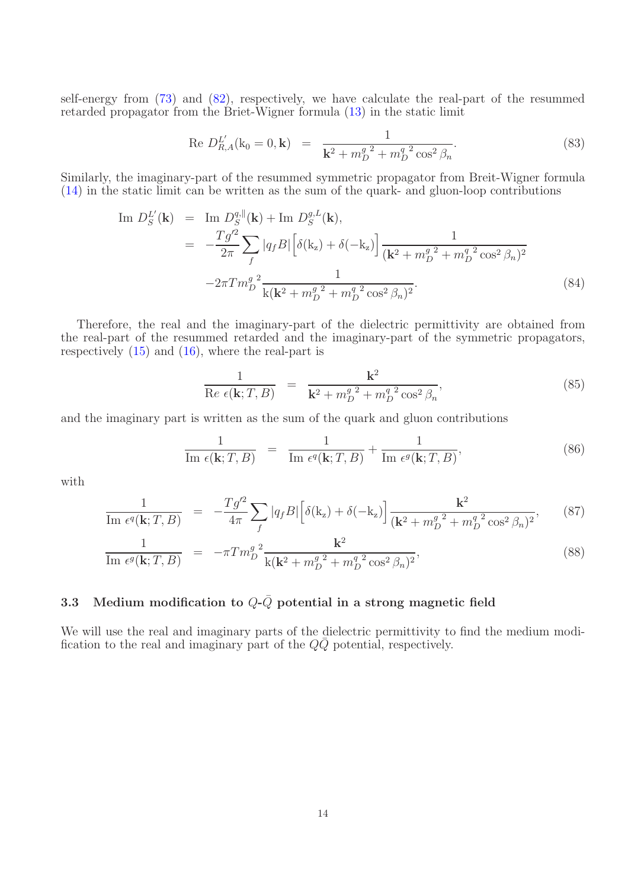self-energy from [\(73\)](#page-11-1) and [\(82\)](#page-12-0), respectively, we have calculate the real-part of the resummed retarded propagator from the Briet-Wigner formula [\(13\)](#page-4-0) in the static limit

Re 
$$
D_{R,A}^{L'}(\mathbf{k}_0 = 0, \mathbf{k}) = \frac{1}{\mathbf{k}^2 + m_D^g{}^2 + m_D^q{}^2 \cos^2 \beta_n}
$$
. (83)

Similarly, the imaginary-part of the resummed symmetric propagator from Breit-Wigner formula [\(14\)](#page-4-0) in the static limit can be written as the sum of the quark- and gluon-loop contributions

Im 
$$
D_S^{L'}(\mathbf{k})
$$
 = Im  $D_S^{q,||}(\mathbf{k})$  + Im  $D_S^{g,L}(\mathbf{k})$ ,  
\n=  $-\frac{Tg'^2}{2\pi} \sum_f |q_f B| \left[ \delta(\mathbf{k}_z) + \delta(-\mathbf{k}_z) \right] \frac{1}{(\mathbf{k}^2 + m_D^{g^2} + m_D^{q^2} \cos^2 \beta_n)^2}$   
\n $-2\pi T m_D^{g^2} \frac{1}{\mathbf{k}(\mathbf{k}^2 + m_D^{g^2} + m_D^{q^2} \cos^2 \beta_n)^2}$ . (84)

Therefore, the real and the imaginary-part of the dielectric permittivity are obtained from the real-part of the resummed retarded and the imaginary-part of the symmetric propagators, respectively  $(15)$  and  $(16)$ , where the real-part is

$$
\frac{1}{\operatorname{Re}\,\epsilon(\mathbf{k};T,B)} = \frac{\mathbf{k}^2}{\mathbf{k}^2 + m_D^g{}^2 + m_D^q{}^2 \cos^2\beta_n},\tag{85}
$$

and the imaginary part is written as the sum of the quark and gluon contributions

<span id="page-13-0"></span>
$$
\frac{1}{\operatorname{Im} \epsilon(\mathbf{k}; T, B)} = \frac{1}{\operatorname{Im} \epsilon^{q}(\mathbf{k}; T, B)} + \frac{1}{\operatorname{Im} \epsilon^{q}(\mathbf{k}; T, B)},
$$
\n(86)

with

<span id="page-13-1"></span>
$$
\frac{1}{\text{Im } \epsilon^{q}(\mathbf{k}; T, B)} = -\frac{Tg^2}{4\pi} \sum_{f} |q_{f}B| \left[ \delta(\mathbf{k}_{z}) + \delta(-\mathbf{k}_{z}) \right] \frac{\mathbf{k}^2}{(\mathbf{k}^2 + m_D^g)^2 + m_D^g \cos^2(\beta_n)^2}, \tag{87}
$$

$$
\frac{1}{\text{Im } \epsilon^{g}(\mathbf{k}; T, B)} = -\pi T m_D^g^2 \frac{\mathbf{k}^2}{\mathbf{k}(\mathbf{k}^2 + m_D^g^2 + m_D^g^2 \cos^2 \beta_n)^2},
$$
\n(88)

## 3.3 Medium modification to  $Q-\overline{Q}$  potential in a strong magnetic field

We will use the real and imaginary parts of the dielectric permittivity to find the medium modification to the real and imaginary part of the  $Q\bar{Q}$  potential, respectively.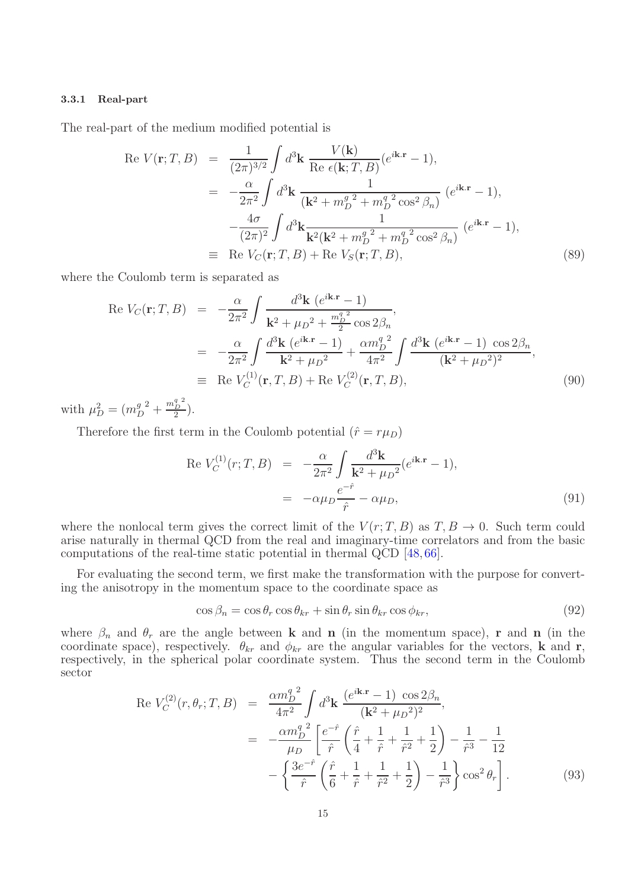#### 3.3.1 Real-part

The real-part of the medium modified potential is

<span id="page-14-0"></span>
$$
\begin{split}\n\text{Re } V(\mathbf{r}; T, B) &= \frac{1}{(2\pi)^{3/2}} \int d^3 \mathbf{k} \, \frac{V(\mathbf{k})}{\text{Re } \epsilon(\mathbf{k}; T, B)} (e^{i\mathbf{k} \cdot \mathbf{r}} - 1), \\
&= -\frac{\alpha}{2\pi^2} \int d^3 \mathbf{k} \, \frac{1}{(\mathbf{k}^2 + m_D^g)^2 + m_D^g \cos^2 \beta_n)} \, (e^{i\mathbf{k} \cdot \mathbf{r}} - 1), \\
&- \frac{4\sigma}{(2\pi)^2} \int d^3 \mathbf{k} \frac{1}{\mathbf{k}^2(\mathbf{k}^2 + m_D^g)^2 + m_D^g \cos^2 \beta_n)} \, (e^{i\mathbf{k} \cdot \mathbf{r}} - 1), \\
&\equiv \text{Re } V_C(\mathbf{r}; T, B) + \text{Re } V_S(\mathbf{r}; T, B),\n\end{split} \tag{89}
$$

where the Coulomb term is separated as

Re 
$$
V_C(\mathbf{r}; T, B) = -\frac{\alpha}{2\pi^2} \int \frac{d^3 \mathbf{k} (e^{i\mathbf{k} \cdot \mathbf{r}} - 1)}{\mathbf{k}^2 + \mu_D^2 + \frac{m_D^2^2}{2} \cos 2\beta_n}
$$
,  
\n
$$
= -\frac{\alpha}{2\pi^2} \int \frac{d^3 \mathbf{k} (e^{i\mathbf{k} \cdot \mathbf{r}} - 1)}{\mathbf{k}^2 + \mu_D^2} + \frac{\alpha m_D^q}{4\pi^2} \int \frac{d^3 \mathbf{k} (e^{i\mathbf{k} \cdot \mathbf{r}} - 1) \cos 2\beta_n}{(\mathbf{k}^2 + \mu_D^2)^2}
$$
\n
$$
\equiv \text{Re } V_C^{(1)}(\mathbf{r}, T, B) + \text{Re } V_C^{(2)}(\mathbf{r}, T, B), \tag{90}
$$

with  $\mu_D^2 = (m_I^g)$  $\frac{g}{D}^2 + \frac{m_D^q}{2}^2$  $\frac{D}{2}$ ).

Therefore the first term in the Coulomb potential  $(\hat{r} = r\mu_D)$ 

Re 
$$
V_C^{(1)}(r; T, B) = -\frac{\alpha}{2\pi^2} \int \frac{d^3 \mathbf{k}}{\mathbf{k}^2 + \mu_D{}^2} (e^{i\mathbf{k} \cdot \mathbf{r}} - 1),
$$
  
=  $-\alpha \mu_D \frac{e^{-\hat{r}}}{\hat{r}} - \alpha \mu_D,$  (91)

where the nonlocal term gives the correct limit of the  $V(r; T, B)$  as  $T, B \to 0$ . Such term could arise naturally in thermal QCD from the real and imaginary-time correlators and from the basic computations of the real-time static potential in thermal QCD [\[48,](#page-25-8) [66\]](#page-25-25).

For evaluating the second term, we first make the transformation with the purpose for converting the anisotropy in the momentum space to the coordinate space as

<span id="page-14-1"></span>
$$
\cos \beta_n = \cos \theta_r \cos \theta_{kr} + \sin \theta_r \sin \theta_{kr} \cos \phi_{kr},\tag{92}
$$

where  $\beta_n$  and  $\theta_r$  are the angle between **k** and **n** (in the momentum space), **r** and **n** (in the coordinate space), respectively.  $\theta_{kr}$  and  $\phi_{kr}$  are the angular variables for the vectors, **k** and **r**, respectively, in the spherical polar coordinate system. Thus the second term in the Coulomb sector

$$
\text{Re } V_C^{(2)}(r, \theta_r; T, B) = \frac{\alpha m_D^{q^2}}{4\pi^2} \int d^3 \mathbf{k} \, \frac{(e^{i\mathbf{k} \cdot \mathbf{r}} - 1) \, \cos 2\beta_n}{(\mathbf{k}^2 + \mu_D^2)^2},
$$
\n
$$
= -\frac{\alpha m_D^{q^2}}{\mu_D} \left[ \frac{e^{-\hat{r}}}{\hat{r}} \left( \frac{\hat{r}}{4} + \frac{1}{\hat{r}} + \frac{1}{\hat{r}^2} + \frac{1}{2} \right) - \frac{1}{\hat{r}^3} - \frac{1}{12} \right.
$$
\n
$$
- \left\{ \frac{3e^{-\hat{r}}}{\hat{r}} \left( \frac{\hat{r}}{6} + \frac{1}{\hat{r}} + \frac{1}{\hat{r}^2} + \frac{1}{2} \right) - \frac{1}{\hat{r}^3} \right\} \cos^2 \theta_r \right]. \tag{93}
$$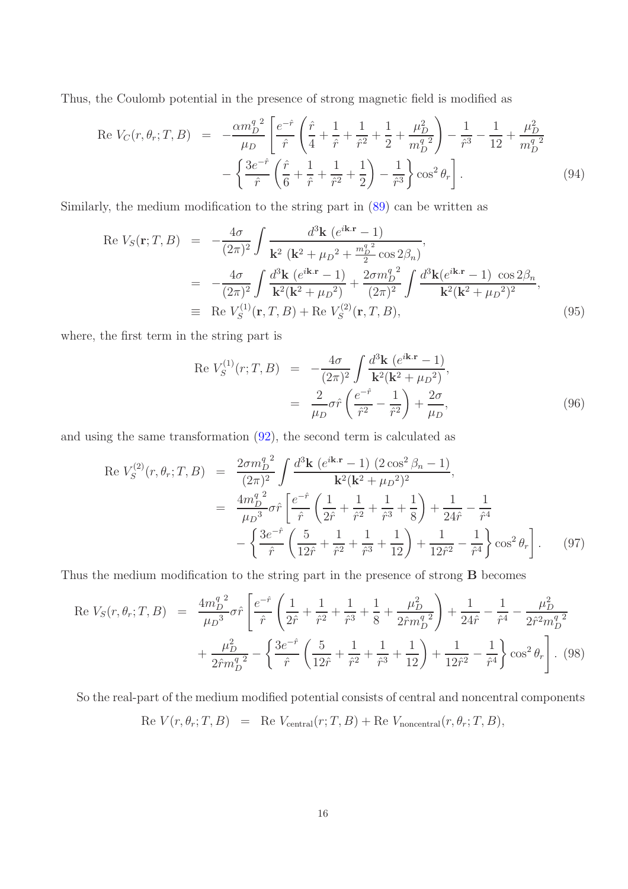Thus, the Coulomb potential in the presence of strong magnetic field is modified as

$$
\text{Re } V_C(r, \theta_r; T, B) = -\frac{\alpha m_D^q}{\mu_D} \left[ \frac{e^{-\hat{r}}}{\hat{r}} \left( \frac{\hat{r}}{4} + \frac{1}{\hat{r}} + \frac{1}{\hat{r}^2} + \frac{1}{2} + \frac{\mu_D^2}{m_D^q} \right) - \frac{1}{\hat{r}^3} - \frac{1}{12} + \frac{\mu_D^2}{m_D^q} \right] - \left\{ \frac{3e^{-\hat{r}}}{\hat{r}} \left( \frac{\hat{r}}{6} + \frac{1}{\hat{r}} + \frac{1}{\hat{r}^2} + \frac{1}{2} \right) - \frac{1}{\hat{r}^3} \right\} \cos^2 \theta_r \right]. \tag{94}
$$

Similarly, the medium modification to the string part in [\(89\)](#page-14-0) can be written as

$$
\begin{split} \text{Re } V_S(\mathbf{r}; T, B) &= -\frac{4\sigma}{(2\pi)^2} \int \frac{d^3 \mathbf{k} \, (e^{i\mathbf{k} \cdot \mathbf{r}} - 1)}{\mathbf{k}^2 \, (\mathbf{k}^2 + \mu_D^2 + \frac{m_D^{q-2}}{2} \cos 2\beta_n)}, \\ &= -\frac{4\sigma}{(2\pi)^2} \int \frac{d^3 \mathbf{k} \, (e^{i\mathbf{k} \cdot \mathbf{r}} - 1)}{\mathbf{k}^2 (\mathbf{k}^2 + \mu_D^2)} + \frac{2\sigma m_D^{q-2}}{(2\pi)^2} \int \frac{d^3 \mathbf{k} (e^{i\mathbf{k} \cdot \mathbf{r}} - 1) \, \cos 2\beta_n}{\mathbf{k}^2 (\mathbf{k}^2 + \mu_D^2)^2}, \\ &\equiv \text{Re } V_S^{(1)}(\mathbf{r}, T, B) + \text{Re } V_S^{(2)}(\mathbf{r}, T, B), \end{split} \tag{95}
$$

where, the first term in the string part is

Re 
$$
V_S^{(1)}(r; T, B) = -\frac{4\sigma}{(2\pi)^2} \int \frac{d^3 \mathbf{k} (e^{i\mathbf{k} \cdot \mathbf{r}} - 1)}{\mathbf{k}^2 (\mathbf{k}^2 + \mu_D^2)},
$$
  

$$
= \frac{2}{\mu_D} \sigma \hat{r} \left( \frac{e^{-\hat{r}}}{\hat{r}^2} - \frac{1}{\hat{r}^2} \right) + \frac{2\sigma}{\mu_D},
$$
(96)

and using the same transformation [\(92\)](#page-14-1), the second term is calculated as

$$
\text{Re } V_S^{(2)}(r, \theta_r; T, B) = \frac{2\sigma m_D^{q^2}}{(2\pi)^2} \int \frac{d^3 \mathbf{k} (e^{i\mathbf{k} \cdot \mathbf{r}} - 1) (2 \cos^2 \beta_n - 1)}{\mathbf{k}^2 (\mathbf{k}^2 + \mu_D^2)^2},
$$
\n
$$
= \frac{4m_D^{q^2}}{\mu_D^{3}} \sigma \hat{r} \left[ \frac{e^{-\hat{r}}}{\hat{r}} \left( \frac{1}{2\hat{r}} + \frac{1}{\hat{r}^2} + \frac{1}{\hat{r}^3} + \frac{1}{8} \right) + \frac{1}{24\hat{r}} - \frac{1}{\hat{r}^4} - \frac{1}{\hat{r}^4} - \frac{3}{\hat{r}} \left( \frac{3e^{-\hat{r}}}{12\hat{r}} \left( \frac{5}{12\hat{r}} + \frac{1}{\hat{r}^2} + \frac{1}{\hat{r}^3} + \frac{1}{12} \right) + \frac{1}{12\hat{r}^2} - \frac{1}{\hat{r}^4} \right) \cos^2 \theta_r \right]. \tag{97}
$$

Thus the medium modification to the string part in the presence of strong B becomes

$$
\text{Re } V_S(r, \theta_r; T, B) = \frac{4m_D^{q^2}}{\mu_D^{3}} \sigma \hat{r} \left[ \frac{e^{-\hat{r}}}{\hat{r}} \left( \frac{1}{2\hat{r}} + \frac{1}{\hat{r}^2} + \frac{1}{\hat{r}^3} + \frac{1}{8} + \frac{\mu_D^{2}}{2\hat{r}m_D^{q^2}} \right) + \frac{1}{24\hat{r}} - \frac{1}{\hat{r}^4} - \frac{\mu_D^{2}}{2\hat{r}^2 m_D^{q^2}} + \frac{\mu_D^{2}}{2\hat{r}m_D^{q^2}} - \left\{ \frac{3e^{-\hat{r}}}{\hat{r}} \left( \frac{5}{12\hat{r}} + \frac{1}{\hat{r}^2} + \frac{1}{\hat{r}^3} + \frac{1}{12} \right) + \frac{1}{12\hat{r}^2} - \frac{1}{\hat{r}^4} \right\} \cos^2 \theta_r \right]. \tag{98}
$$

So the real-part of the medium modified potential consists of central and noncentral components

$$
Re V(r, \theta_r; T, B) = Re V_{\text{central}}(r; T, B) + Re V_{\text{noncentral}}(r, \theta_r; T, B),
$$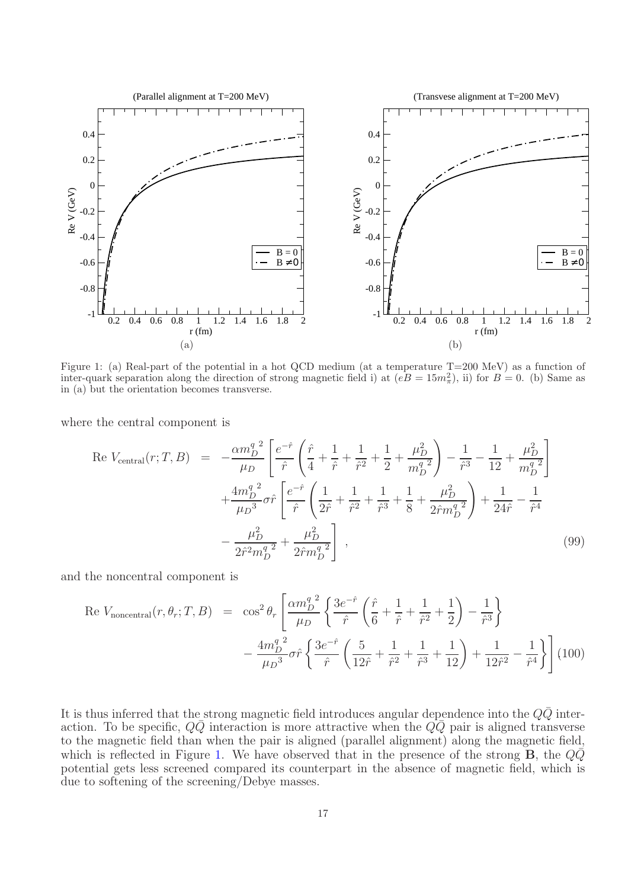<span id="page-16-0"></span>

Figure 1: (a) Real-part of the potential in a hot QCD medium (at a temperature T=200 MeV) as a function of inter-quark separation along the direction of strong magnetic field i) at  $(eB = 15m_{\pi}^2)$ , ii) for  $B = 0$ . (b) Same as in (a) but the orientation becomes transverse.

where the central component is

<span id="page-16-1"></span>
$$
\text{Re } V_{\text{central}}(r; T, B) = -\frac{\alpha m_D^{q^2}}{\mu_D} \left[ \frac{e^{-\hat{r}}}{\hat{r}} \left( \frac{\hat{r}}{4} + \frac{1}{\hat{r}} + \frac{1}{\hat{r}^2} + \frac{1}{2} + \frac{\mu_D^2}{m_D^{q^2}} \right) - \frac{1}{\hat{r}^3} - \frac{1}{12} + \frac{\mu_D^2}{m_D^{q^2}} \right] + \frac{4m_D^{q^2}}{\mu_D^{3}} \sigma \hat{r} \left[ \frac{e^{-\hat{r}}}{\hat{r}} \left( \frac{1}{2\hat{r}} + \frac{1}{\hat{r}^2} + \frac{1}{\hat{r}^3} + \frac{1}{8} + \frac{\mu_D^2}{2\hat{r}m_D^{q^2}} \right) + \frac{1}{24\hat{r}} - \frac{1}{\hat{r}^4} - \frac{\mu_D^2}{2\hat{r}^2 m_D^{q^2}} + \frac{\mu_D^2}{2\hat{r}m_D^{q^2}} \right] \,, \tag{99}
$$

and the noncentral component is

<span id="page-16-2"></span>Re 
$$
V_{\text{noncentral}}(r, \theta_r; T, B) = \cos^2 \theta_r \left[ \frac{\alpha m_D^q}{\mu_D} \left\{ \frac{3e^{-\hat{r}}}{\hat{r}} \left( \frac{\hat{r}}{6} + \frac{1}{\hat{r}} + \frac{1}{\hat{r}^2} + \frac{1}{2} \right) - \frac{1}{\hat{r}^3} \right\} - \frac{4m_D^q^2}{\mu_D^3} \sigma \hat{r} \left\{ \frac{3e^{-\hat{r}}}{\hat{r}} \left( \frac{5}{12\hat{r}} + \frac{1}{\hat{r}^2} + \frac{1}{\hat{r}^3} + \frac{1}{12} \right) + \frac{1}{12\hat{r}^2} - \frac{1}{\hat{r}^4} \right\} \right] (100)
$$

It is thus inferred that the strong magnetic field introduces angular dependence into the  $QQ$  interaction. To be specific,  $Q\bar{Q}$  interaction is more attractive when the  $Q\bar{Q}$  pair is aligned transverse to the magnetic field than when the pair is aligned (parallel alignment) along the magnetic field, which is reflected in Figure [1.](#page-16-0) We have observed that in the presence of the strong **B**, the  $Q\bar{Q}$ potential gets less screened compared its counterpart in the absence of magnetic field, which is due to softening of the screening/Debye masses.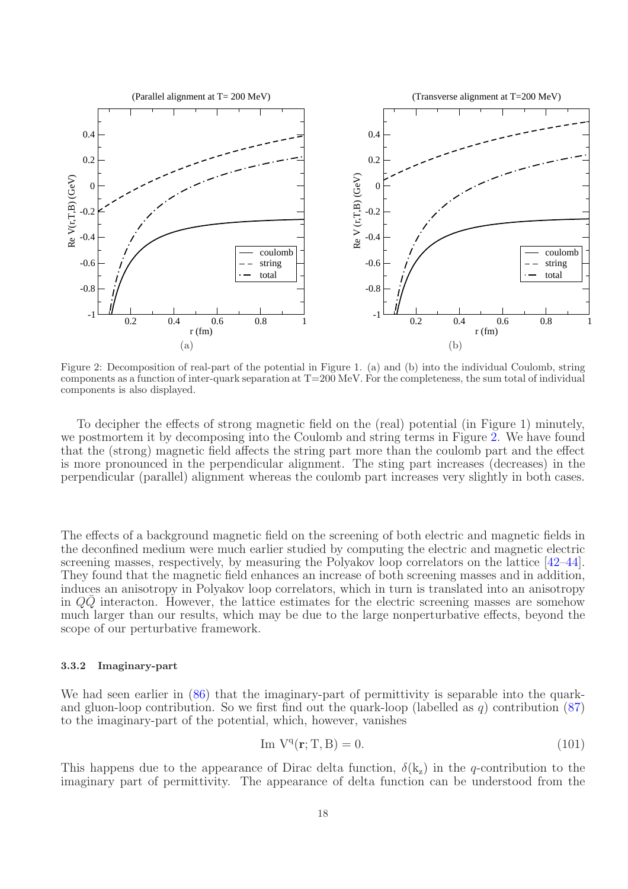<span id="page-17-0"></span>

Figure 2: Decomposition of real-part of the potential in Figure 1. (a) and (b) into the individual Coulomb, string components as a function of inter-quark separation at  $T=200$  MeV. For the completeness, the sum total of individual components is also displayed.

To decipher the effects of strong magnetic field on the (real) potential (in Figure 1) minutely, we postmortem it by decomposing into the Coulomb and string terms in Figure [2.](#page-17-0) We have found that the (strong) magnetic field affects the string part more than the coulomb part and the effect is more pronounced in the perpendicular alignment. The sting part increases (decreases) in the perpendicular (parallel) alignment whereas the coulomb part increases very slightly in both cases.

The effects of a background magnetic field on the screening of both electric and magnetic fields in the deconfined medium were much earlier studied by computing the electric and magnetic electric screening masses, respectively, by measuring the Polyakov loop correlators on the lattice [\[42](#page-25-0)[–44\]](#page-25-5). They found that the magnetic field enhances an increase of both screening masses and in addition, induces an anisotropy in Polyakov loop correlators, which in turn is translated into an anisotropy in  $Q\overline{Q}$  interacton. However, the lattice estimates for the electric screening masses are somehow much larger than our results, which may be due to the large nonperturbative effects, beyond the scope of our perturbative framework.

#### 3.3.2 Imaginary-part

We had seen earlier in  $(86)$  that the imaginary-part of permittivity is separable into the quarkand gluon-loop contribution. So we first find out the quark-loop (labelled as q) contribution  $(87)$ to the imaginary-part of the potential, which, however, vanishes

$$
\text{Im } V^q(\mathbf{r}; T, B) = 0. \tag{101}
$$

This happens due to the appearance of Dirac delta function,  $\delta(k_z)$  in the q-contribution to the imaginary part of permittivity. The appearance of delta function can be understood from the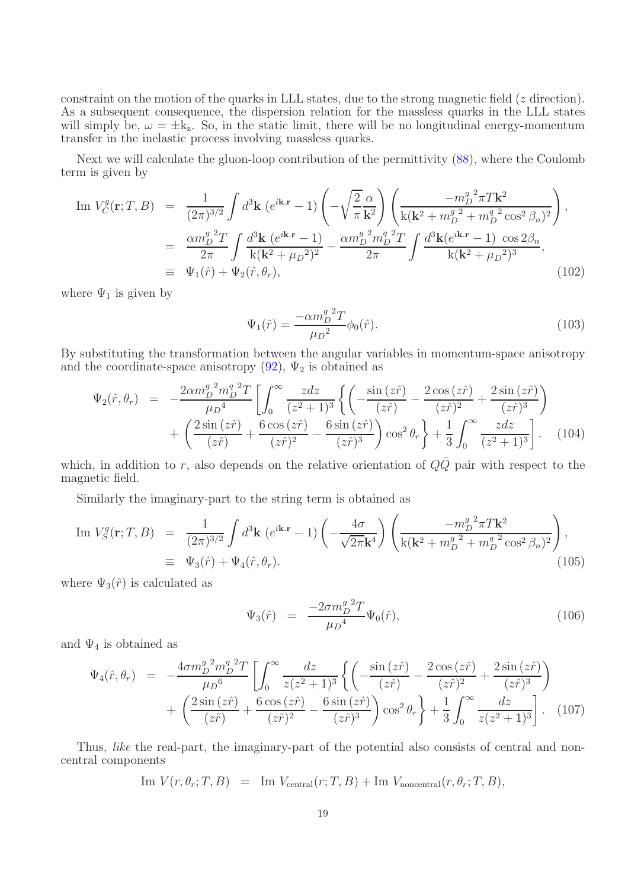constraint on the motion of the quarks in LLL states, due to the strong magnetic field (z direction). As a subsequent consequence, the dispersion relation for the massless quarks in the LLL states will simply be,  $\omega = \pm k_z$ . So, in the static limit, there will be no longitudinal energy-momentum transfer in the inelastic process involving massless quarks.

Next we will calculate the gluon-loop contribution of the permittivity [\(88\)](#page-13-1), where the Coulomb term is given by

Im 
$$
V_C^g(\mathbf{r}; T, B) = \frac{1}{(2\pi)^{3/2}} \int d^3 \mathbf{k} \left( e^{i\mathbf{k} \cdot \mathbf{r}} - 1 \right) \left( -\sqrt{\frac{2}{\pi}} \frac{\alpha}{\mathbf{k}^2} \right) \left( \frac{-m_D^g^2 \pi T \mathbf{k}^2}{\mathbf{k} (\mathbf{k}^2 + m_D^g^2 + m_D^g^2 \cos^2 \beta_n)^2} \right),
$$
  
\n
$$
= \frac{\alpha m_D^g^2 T}{2\pi} \int \frac{d^3 \mathbf{k} \left( e^{i\mathbf{k} \cdot \mathbf{r}} - 1 \right)}{\mathbf{k} (\mathbf{k}^2 + \mu_D^2)^2} - \frac{\alpha m_D^g^2 m_D^g^2 T}{2\pi} \int \frac{d^3 \mathbf{k} (e^{i\mathbf{k} \cdot \mathbf{r}} - 1) \cos 2\beta_n}{\mathbf{k} (\mathbf{k}^2 + \mu_D^2)^3},
$$
  
\n
$$
\equiv \Psi_1(\hat{r}) + \Psi_2(\hat{r}, \theta_r),
$$
\n(102)

where  $\Psi_1$  is given by

$$
\Psi_1(\hat{r}) = \frac{-\alpha m_D^{g \, 2} T}{\mu_D^2} \phi_0(\hat{r}).\tag{103}
$$

By substituting the transformation between the angular variables in momentum-space anisotropy and the coordinate-space anisotropy  $(92)$ ,  $\Psi_2$  is obtained as

$$
\Psi_2(\hat{r}, \theta_r) = -\frac{2\alpha m_D^g^2 m_D^q^2 T}{\mu_D^4} \left[ \int_0^\infty \frac{z dz}{(z^2 + 1)^3} \left\{ \left( -\frac{\sin(z\hat{r})}{(z\hat{r})} - \frac{2\cos(z\hat{r})}{(z\hat{r})^2} + \frac{2\sin(z\hat{r})}{(z\hat{r})^3} \right) \right. \right. \\
\left. + \left. \left( \frac{2\sin(z\hat{r})}{(z\hat{r})} + \frac{6\cos(z\hat{r})}{(z\hat{r})^2} - \frac{6\sin(z\hat{r})}{(z\hat{r})^3} \right) \cos^2\theta_r \right\} + \frac{1}{3} \int_0^\infty \frac{z dz}{(z^2 + 1)^3} \right]. \tag{104}
$$

which, in addition to r, also depends on the relative orientation of  $Q\bar{Q}$  pair with respect to the magnetic field.

Similarly the imaginary-part to the string term is obtained as

Im 
$$
V_S^g(\mathbf{r}; T, B) = \frac{1}{(2\pi)^{3/2}} \int d^3 \mathbf{k} \left( e^{i\mathbf{k} \cdot \mathbf{r}} - 1 \right) \left( -\frac{4\sigma}{\sqrt{2\pi} \mathbf{k}^4} \right) \left( \frac{-m_D^g{}^2 \pi T \mathbf{k}^2}{\mathbf{k} (\mathbf{k}^2 + m_D^g{}^2 + m_D^g{}^2 \cos^2 \beta_n)^2} \right),
$$
  
\n
$$
\equiv \Psi_3(\hat{r}) + \Psi_4(\hat{r}, \theta_r).
$$
\n(105)

where  $\Psi_3(\hat{r})$  is calculated as

$$
\Psi_3(\hat{r}) = \frac{-2\sigma m_D^g{}^2 T}{\mu_D{}^4} \Psi_0(\hat{r}), \tag{106}
$$

and  $\Psi_4$  is obtained as

$$
\Psi_4(\hat{r}, \theta_r) = -\frac{4\sigma m_D^g^2 m_D^q^2 T}{\mu_D^6} \left[ \int_0^\infty \frac{dz}{z(z^2 + 1)^3} \left\{ \left( -\frac{\sin(z\hat{r})}{(z\hat{r})} - \frac{2\cos(z\hat{r})}{(z\hat{r})^2} + \frac{2\sin(z\hat{r})}{(z\hat{r})^3} \right) \right. \right. \\
\left. + \left. \left( \frac{2\sin(z\hat{r})}{(z\hat{r})} + \frac{6\cos(z\hat{r})}{(z\hat{r})^2} - \frac{6\sin(z\hat{r})}{(z\hat{r})^3} \right) \cos^2\theta_r \right\} + \frac{1}{3} \int_0^\infty \frac{dz}{z(z^2 + 1)^3} \right]. \tag{107}
$$

Thus, *like* the real-part, the imaginary-part of the potential also consists of central and noncentral components

$$
\text{Im } V(r, \theta_r; T, B) = \text{Im } V_{\text{central}}(r; T, B) + \text{Im } V_{\text{noncentral}}(r, \theta_r; T, B),
$$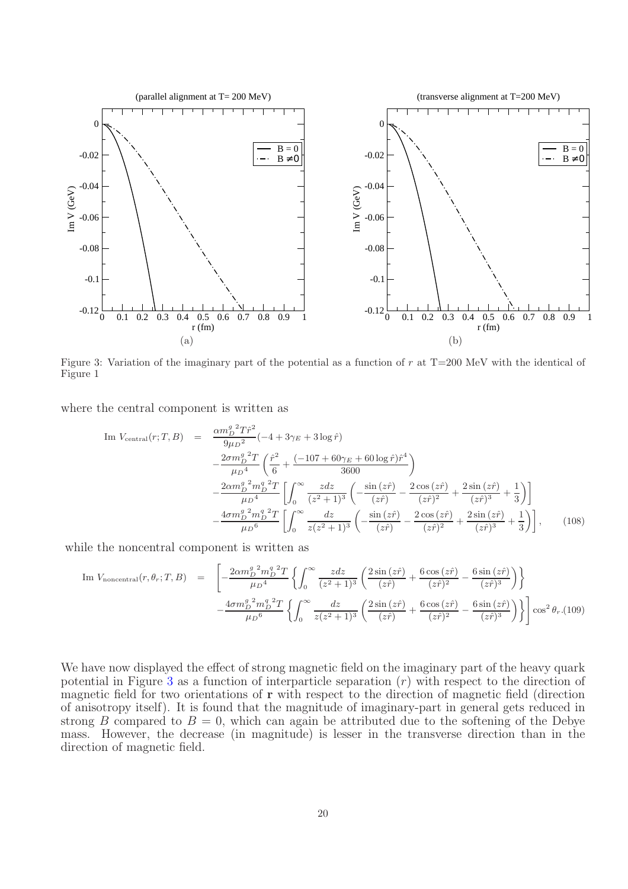<span id="page-19-0"></span>

Figure 3: Variation of the imaginary part of the potential as a function of  $r$  at T=200 MeV with the identical of Figure 1

where the central component is written as

Im 
$$
V_{\text{central}}(r; T, B)
$$
 = 
$$
\frac{\alpha m_D^g{}^2 T \hat{r}^2}{9\mu D^2} (-4 + 3\gamma_E + 3 \log \hat{r})
$$

$$
-\frac{2\sigma m_D^g{}^2 T}{\mu D^4} \left(\frac{\hat{r}^2}{6} + \frac{(-107 + 60\gamma_E + 60 \log \hat{r}) \hat{r}^4}{3600}\right)
$$

$$
-\frac{2\alpha m_D^g{}^2 m_D^g{}^2 T}{\mu D^4} \left[\int_0^\infty \frac{z dz}{(z^2 + 1)^3} \left(-\frac{\sin(z\hat{r})}{(z\hat{r})} - \frac{2 \cos(z\hat{r})}{(z\hat{r})^2} + \frac{2 \sin(z\hat{r})}{(z\hat{r})^3} + \frac{1}{3}\right)\right]
$$

$$
-\frac{4\sigma m_D^g{}^2 m_D^g{}^2 T}{\mu D^6} \left[\int_0^\infty \frac{dz}{z(z^2 + 1)^3} \left(-\frac{\sin(z\hat{r})}{(z\hat{r})} - \frac{2 \cos(z\hat{r})}{(z\hat{r})^2} + \frac{2 \sin(z\hat{r})}{(z\hat{r})^3} + \frac{1}{3}\right)\right], \qquad (108)
$$

while the noncentral component is written as

Im 
$$
V_{\text{noncentral}}(r, \theta_r; T, B)
$$
 = 
$$
\left[ -\frac{2\alpha m_D^g^2 m_D^g^2 T}{\mu D^4} \left\{ \int_0^\infty \frac{z dz}{(z^2 + 1)^3} \left( \frac{2 \sin (z\hat{r})}{(z\hat{r})} + \frac{6 \cos (z\hat{r})}{(z\hat{r})^2} - \frac{6 \sin (z\hat{r})}{(z\hat{r})^3} \right) \right\} - \frac{4 \sigma m_D^g^2 m_D^g^2 T}{\mu D^6} \left\{ \int_0^\infty \frac{dz}{z(z^2 + 1)^3} \left( \frac{2 \sin (z\hat{r})}{(z\hat{r})} + \frac{6 \cos (z\hat{r})}{(z\hat{r})^2} - \frac{6 \sin (z\hat{r})}{(z\hat{r})^3} \right) \right\} \cos^2 \theta_r.(109)
$$

We have now displayed the effect of strong magnetic field on the imaginary part of the heavy quark potential in Figure [3](#page-19-0) as a function of interparticle separation  $(r)$  with respect to the direction of magnetic field for two orientations of  $\bf{r}$  with respect to the direction of magnetic field (direction of anisotropy itself). It is found that the magnitude of imaginary-part in general gets reduced in strong B compared to  $B = 0$ , which can again be attributed due to the softening of the Debye mass. However, the decrease (in magnitude) is lesser in the transverse direction than in the direction of magnetic field.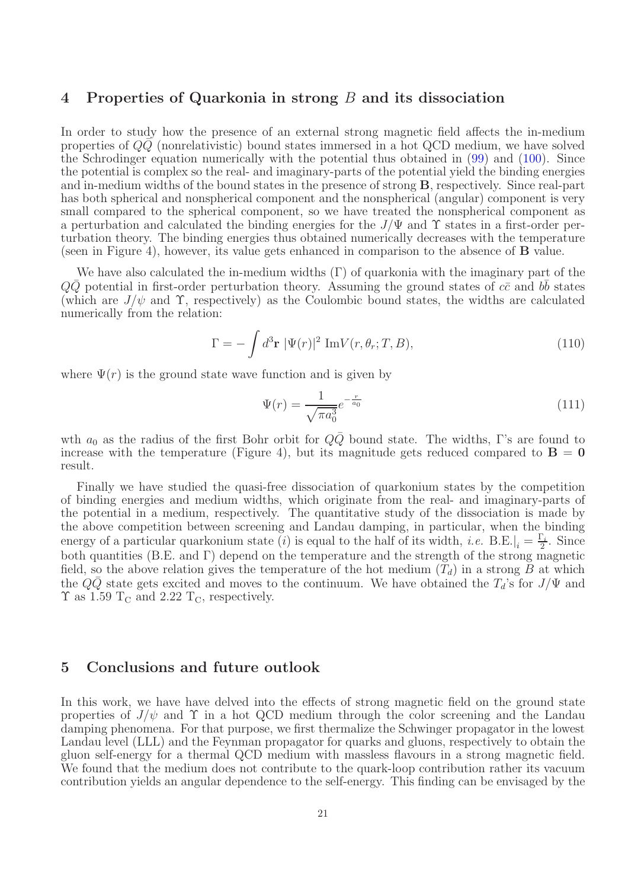## 4 Properties of Quarkonia in strong B and its dissociation

In order to study how the presence of an external strong magnetic field affects the in-medium properties of  $QQ$  (nonrelativistic) bound states immersed in a hot QCD medium, we have solved the Schrodinger equation numerically with the potential thus obtained in [\(99\)](#page-16-1) and [\(100\)](#page-16-2). Since the potential is complex so the real- and imaginary-parts of the potential yield the binding energies and in-medium widths of the bound states in the presence of strong B, respectively. Since real-part has both spherical and nonspherical component and the nonspherical (angular) component is very small compared to the spherical component, so we have treated the nonspherical component as a perturbation and calculated the binding energies for the  $J/\Psi$  and  $\Upsilon$  states in a first-order perturbation theory. The binding energies thus obtained numerically decreases with the temperature (seen in Figure 4), however, its value gets enhanced in comparison to the absence of B value.

We have also calculated the in-medium widths  $(\Gamma)$  of quarkonia with the imaginary part of the  $Q\bar{Q}$  potential in first-order perturbation theory. Assuming the ground states of  $c\bar{c}$  and  $b\bar{b}$  states (which are  $J/\psi$  and  $\Upsilon$ , respectively) as the Coulombic bound states, the widths are calculated numerically from the relation:

$$
\Gamma = -\int d^3 \mathbf{r} \ |\Psi(r)|^2 \ \text{Im}V(r, \theta_r; T, B), \tag{110}
$$

where  $\Psi(r)$  is the ground state wave function and is given by

$$
\Psi(r) = \frac{1}{\sqrt{\pi a_0^3}} e^{-\frac{r}{a_0}} \tag{111}
$$

wth  $a_0$  as the radius of the first Bohr orbit for  $Q\overline{Q}$  bound state. The widths, Γ's are found to increase with the temperature (Figure 4), but its magnitude gets reduced compared to  $\mathbf{B} = \mathbf{0}$ result.

Finally we have studied the quasi-free dissociation of quarkonium states by the competition of binding energies and medium widths, which originate from the real- and imaginary-parts of the potential in a medium, respectively. The quantitative study of the dissociation is made by the above competition between screening and Landau damping, in particular, when the binding energy of a particular quarkonium state (*i*) is equal to the half of its width, *i.e.* B.E. $|_i = \frac{\Gamma_i}{2}$ . Since both quantities (B.E. and Γ) depend on the temperature and the strength of the strong magnetic field, so the above relation gives the temperature of the hot medium  $(T_d)$  in a strong B at which the  $Q\overline{Q}$  state gets excited and moves to the continuum. We have obtained the  $T_d$ 's for  $J/\Psi$  and  $\Upsilon$  as 1.59 T<sub>C</sub> and 2.22 T<sub>C</sub>, respectively.

## 5 Conclusions and future outlook

In this work, we have have delved into the effects of strong magnetic field on the ground state properties of  $J/\psi$  and  $\Upsilon$  in a hot QCD medium through the color screening and the Landau damping phenomena. For that purpose, we first thermalize the Schwinger propagator in the lowest Landau level (LLL) and the Feynman propagator for quarks and gluons, respectively to obtain the gluon self-energy for a thermal QCD medium with massless flavours in a strong magnetic field. We found that the medium does not contribute to the quark-loop contribution rather its vacuum contribution yields an angular dependence to the self-energy. This finding can be envisaged by the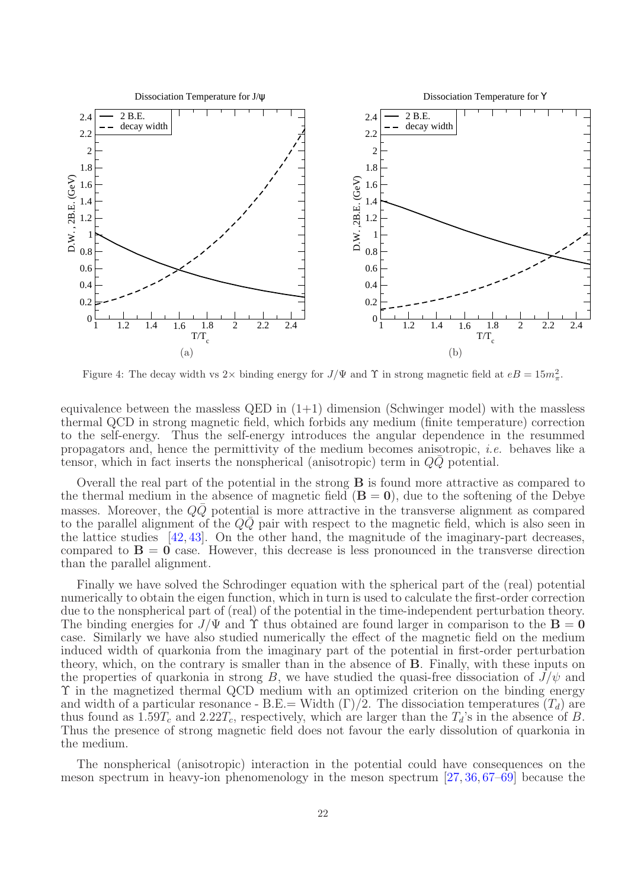

Figure 4: The decay width vs 2× binding energy for  $J/\Psi$  and  $\Upsilon$  in strong magnetic field at  $eB = 15m_{\pi}^2$ .

equivalence between the massless QED in  $(1+1)$  dimension (Schwinger model) with the massless thermal QCD in strong magnetic field, which forbids any medium (finite temperature) correction to the self-energy. Thus the self-energy introduces the angular dependence in the resummed propagators and, hence the permittivity of the medium becomes anisotropic, i.e. behaves like a tensor, which in fact inserts the nonspherical (anisotropic) term in  $QQ$  potential.

Overall the real part of the potential in the strong B is found more attractive as compared to the thermal medium in the absence of magnetic field  $(\mathbf{B} = \mathbf{0})$ , due to the softening of the Debye masses. Moreover, the  $QQ$  potential is more attractive in the transverse alignment as compared to the parallel alignment of the  $QQ$  pair with respect to the magnetic field, which is also seen in the lattice studies [\[42,](#page-25-0) [43\]](#page-25-1). On the other hand, the magnitude of the imaginary-part decreases, compared to  $B = 0$  case. However, this decrease is less pronounced in the transverse direction than the parallel alignment.

Finally we have solved the Schrodinger equation with the spherical part of the (real) potential numerically to obtain the eigen function, which in turn is used to calculate the first-order correction due to the nonspherical part of (real) of the potential in the time-independent perturbation theory. The binding energies for  $J/\Psi$  and  $\Upsilon$  thus obtained are found larger in comparison to the  $\mathbf{B} = \mathbf{0}$ case. Similarly we have also studied numerically the effect of the magnetic field on the medium induced width of quarkonia from the imaginary part of the potential in first-order perturbation theory, which, on the contrary is smaller than in the absence of B. Finally, with these inputs on the properties of quarkonia in strong B, we have studied the quasi-free dissociation of  $J/\psi$  and Υ in the magnetized thermal QCD medium with an optimized criterion on the binding energy and width of a particular resonance - B.E.= Width  $(\Gamma)/2$ . The dissociation temperatures  $(T_d)$  are thus found as  $1.59T_c$  and  $2.22T_c$ , respectively, which are larger than the  $T_d$ 's in the absence of B. Thus the presence of strong magnetic field does not favour the early dissolution of quarkonia in the medium.

The nonspherical (anisotropic) interaction in the potential could have consequences on the meson spectrum in heavy-ion phenomenology in the meson spectrum [\[27,](#page-24-16) [36,](#page-24-22) [67–](#page-25-26)[69\]](#page-25-27) because the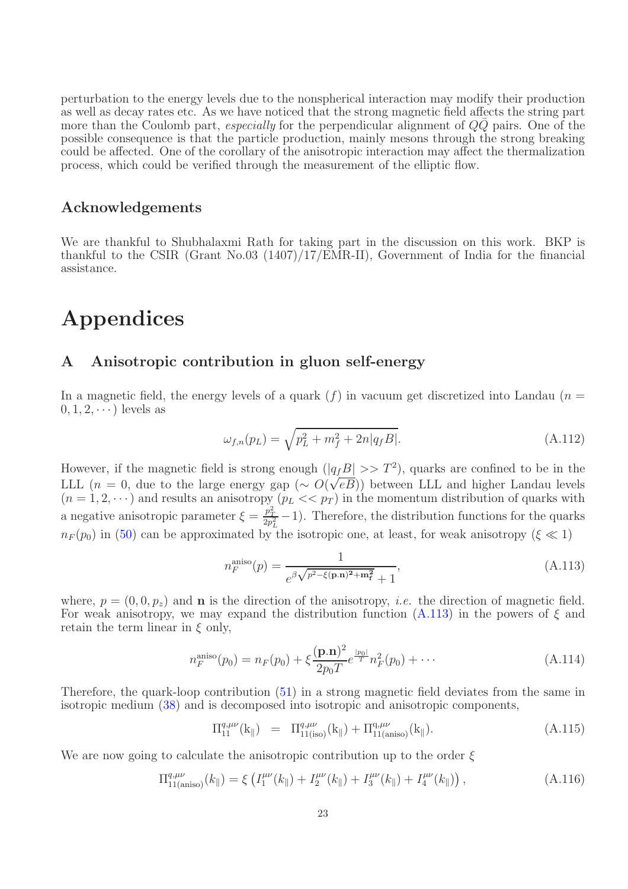perturbation to the energy levels due to the nonspherical interaction may modify their production as well as decay rates etc. As we have noticed that the strong magnetic field affects the string part more than the Coulomb part, *especially* for the perpendicular alignment of  $QQ$  pairs. One of the possible consequence is that the particle production, mainly mesons through the strong breaking could be affected. One of the corollary of the anisotropic interaction may affect the thermalization process, which could be verified through the measurement of the elliptic flow.

## Acknowledgements

We are thankful to Shubhalaxmi Rath for taking part in the discussion on this work. BKP is thankful to the CSIR (Grant No.03 (1407)/17/EMR-II), Government of India for the financial assistance.

# Appendices

## <span id="page-22-0"></span>A Anisotropic contribution in gluon self-energy

In a magnetic field, the energy levels of a quark  $(f)$  in vacuum get discretized into Landau  $(n =$  $0, 1, 2, \cdots$ ) levels as

$$
\omega_{f,n}(p_L) = \sqrt{p_L^2 + m_f^2 + 2n|q_f B|}.\tag{A.112}
$$

However, if the magnetic field is strong enough  $(|q_fB| >> T^2)$ , quarks are confined to be in the LLL  $(n = 0)$ , due to the large energy gap  $(\sim O(\sqrt{eB}))$  between LLL and higher Landau levels  $(n = 1, 2, \dots)$  and results an anisotropy  $(p_L \ll p_T)$  in the momentum distribution of quarks with a negative anisotropic parameter  $\xi = \frac{p_T^2}{2p_L^2} - 1$ ). Therefore, the distribution functions for the quarks  $n_F (p_0)$  in [\(50\)](#page-8-1) can be approximated by the isotropic one, at least, for weak anisotropy ( $\xi \ll 1$ )

<span id="page-22-1"></span>
$$
n_F^{\text{aniso}}(p) = \frac{1}{e^{\beta \sqrt{p^2 - \xi(\mathbf{p}.\mathbf{n})^2 + \mathbf{m}_\mathbf{f}^2} + 1}},\tag{A.113}
$$

where,  $p = (0, 0, p_z)$  and **n** is the direction of the anisotropy, *i.e.* the direction of magnetic field. For weak anisotropy, we may expand the distribution function  $(A.113)$  in the powers of  $\xi$  and retain the term linear in  $\xi$  only,

$$
n_F^{\text{aniso}}(p_0) = n_F(p_0) + \xi \frac{(\mathbf{p}.\mathbf{n})^2}{2p_0T} e^{\frac{|p_0|}{T}} n_F^2(p_0) + \cdots
$$
 (A.114)

Therefore, the quark-loop contribution [\(51\)](#page-8-2) in a strong magnetic field deviates from the same in isotropic medium [\(38\)](#page-7-0) and is decomposed into isotropic and anisotropic components,

<span id="page-22-2"></span>
$$
\Pi_{11}^{q,\mu\nu}(k_{\parallel}) = \Pi_{11(iso)}^{q,\mu\nu}(k_{\parallel}) + \Pi_{11(aniso)}^{q,\mu\nu}(k_{\parallel}). \tag{A.115}
$$

We are now going to calculate the anisotropic contribution up to the order  $\xi$ 

$$
\Pi_{11(\text{aniso})}^{q,\mu\nu}(k_{\parallel}) = \xi \left( I_1^{\mu\nu}(k_{\parallel}) + I_2^{\mu\nu}(k_{\parallel}) + I_3^{\mu\nu}(k_{\parallel}) + I_4^{\mu\nu}(k_{\parallel}) \right), \tag{A.116}
$$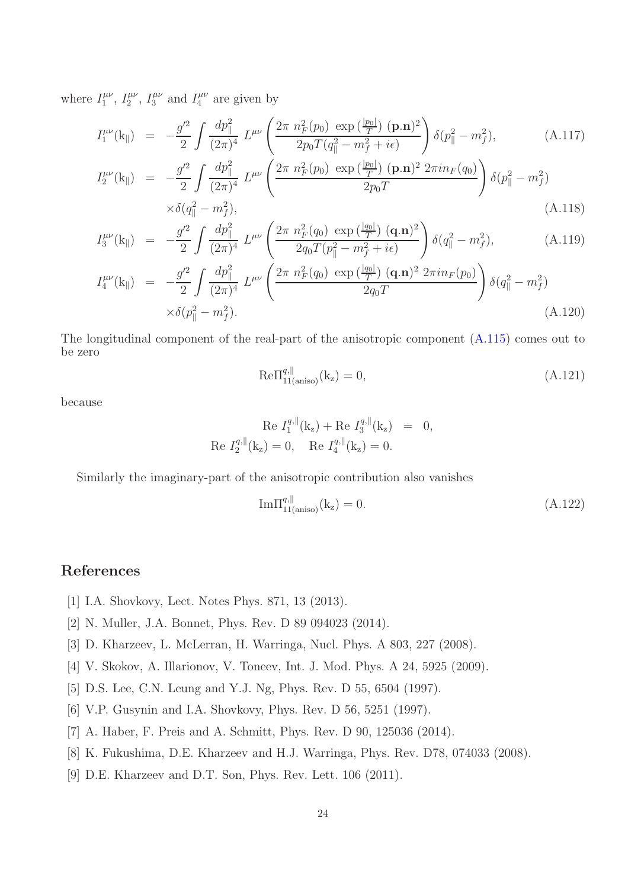where  $I_1^{\mu\nu}$  $I_1^{\mu\nu}, I_2^{\mu\nu}$  $l_1^{\mu\nu},\,l_3^{\mu\nu}$  $J_3^{\mu\nu}$  and  $I_4^{\mu\nu}$  $4^{\mu\nu}$  are given by

$$
I_1^{\mu\nu}(\mathbf{k}_{\parallel}) = -\frac{g^{\prime 2}}{2} \int \frac{dp_{\parallel}^2}{(2\pi)^4} L^{\mu\nu} \left( \frac{2\pi \ n_F^2(p_0) \ \exp\left(\frac{|p_0|}{T}\right) (\mathbf{p}.\mathbf{n})^2}{2p_0 T(q_{\parallel}^2 - m_f^2 + i\epsilon)} \right) \delta(p_{\parallel}^2 - m_f^2), \tag{A.117}
$$

$$
I_2^{\mu\nu}(\mathbf{k}_{\parallel}) = -\frac{g^{\prime 2}}{2} \int \frac{dp_{\parallel}^2}{(2\pi)^4} L^{\mu\nu} \left( \frac{2\pi n_F^2(p_0) \exp\left(\frac{|p_0|}{T}\right) (\mathbf{p}.\mathbf{n})^2 2\pi i n_F(q_0)}{2p_0 T} \right) \delta(p_{\parallel}^2 - m_f^2) \times \delta(q_{\parallel}^2 - m_f^2), \tag{A.118}
$$

$$
I_3^{\mu\nu}(\mathbf{k}_{\parallel}) = -\frac{g^{\prime 2}}{2} \int \frac{dp_{\parallel}^2}{(2\pi)^4} L^{\mu\nu} \left( \frac{2\pi \ n_F^2(q_0) \ \exp\left(\frac{|q_0|}{T}\right) (\mathbf{q}.\mathbf{n})^2}{2q_0 T (p_{\parallel}^2 - m_f^2 + i\epsilon)} \right) \delta(q_{\parallel}^2 - m_f^2), \tag{A.119}
$$

$$
I_4^{\mu\nu}(\mathbf{k}_{\parallel}) = -\frac{g^{\prime 2}}{2} \int \frac{dp_{\parallel}^2}{(2\pi)^4} L^{\mu\nu} \left( \frac{2\pi \ n_F^2(q_0) \ \exp\left(\frac{|q_0|}{T}\right) (\mathbf{q}.\mathbf{n})^2 \ 2\pi i n_F(p_0)}{2q_0 T} \right) \delta(q_{\parallel}^2 - m_f^2) \times \delta(p_{\parallel}^2 - m_f^2). \tag{A.120}
$$

The longitudinal component of the real-part of the anisotropic component [\(A.115\)](#page-22-2) comes out to be zero

$$
Re\Pi_{11(\text{aniso})}^{q,||}(k_z) = 0,
$$
\n(A.121)

because

Re 
$$
I_1^{q, \parallel}(\mathbf{k}_z) + \text{Re } I_3^{q, \parallel}(\mathbf{k}_z) = 0
$$
,  
Re  $I_2^{q, \parallel}(\mathbf{k}_z) = 0$ , Re  $I_4^{q, \parallel}(\mathbf{k}_z) = 0$ .

Similarly the imaginary-part of the anisotropic contribution also vanishes

$$
Im\Pi_{11(\text{aniso})}^{q,||}(k_z) = 0.
$$
\n(A.122)

## <span id="page-23-0"></span>References

- <span id="page-23-1"></span>[1] I.A. Shovkovy, Lect. Notes Phys. 871, 13 (2013).
- <span id="page-23-2"></span>[2] N. Muller, J.A. Bonnet, Phys. Rev. D 89 094023 (2014).
- <span id="page-23-3"></span>[3] D. Kharzeev, L. McLerran, H. Warringa, Nucl. Phys. A 803, 227 (2008).
- <span id="page-23-4"></span>[4] V. Skokov, A. Illarionov, V. Toneev, Int. J. Mod. Phys. A 24, 5925 (2009).
- [5] D.S. Lee, C.N. Leung and Y.J. Ng, Phys. Rev. D 55, 6504 (1997).
- <span id="page-23-5"></span>[6] V.P. Gusynin and I.A. Shovkovy, Phys. Rev. D 56, 5251 (1997).
- <span id="page-23-6"></span>[7] A. Haber, F. Preis and A. Schmitt, Phys. Rev. D 90, 125036 (2014).
- <span id="page-23-7"></span>[8] K. Fukushima, D.E. Kharzeev and H.J. Warringa, Phys. Rev. D78, 074033 (2008).
- [9] D.E. Kharzeev and D.T. Son, Phys. Rev. Lett. 106 (2011).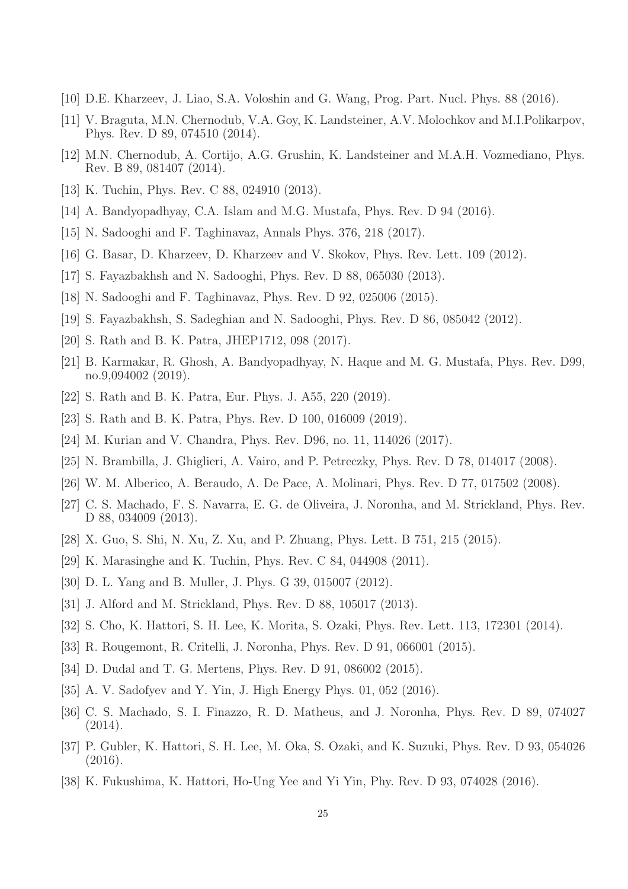- <span id="page-24-1"></span><span id="page-24-0"></span>[10] D.E. Kharzeev, J. Liao, S.A. Voloshin and G. Wang, Prog. Part. Nucl. Phys. 88 (2016).
- [11] V. Braguta, M.N. Chernodub, V.A. Goy, K. Landsteiner, A.V. Molochkov and M.I.Polikarpov, Phys. Rev. D 89, 074510 (2014).
- <span id="page-24-2"></span>[12] M.N. Chernodub, A. Cortijo, A.G. Grushin, K. Landsteiner and M.A.H. Vozmediano, Phys. Rev. B 89, 081407 (2014).
- <span id="page-24-3"></span>[13] K. Tuchin, Phys. Rev. C 88, 024910 (2013).
- <span id="page-24-4"></span>[14] A. Bandyopadhyay, C.A. Islam and M.G. Mustafa, Phys. Rev. D 94 (2016).
- <span id="page-24-5"></span>[15] N. Sadooghi and F. Taghinavaz, Annals Phys. 376, 218 (2017).
- <span id="page-24-6"></span>[16] G. Basar, D. Kharzeev, D. Kharzeev and V. Skokov, Phys. Rev. Lett. 109 (2012).
- <span id="page-24-7"></span>[17] S. Fayazbakhsh and N. Sadooghi, Phys. Rev. D 88, 065030 (2013).
- <span id="page-24-8"></span>[18] N. Sadooghi and F. Taghinavaz, Phys. Rev. D 92, 025006 (2015).
- <span id="page-24-9"></span>[19] S. Fayazbakhsh, S. Sadeghian and N. Sadooghi, Phys. Rev. D 86, 085042 (2012).
- <span id="page-24-10"></span>[20] S. Rath and B. K. Patra, JHEP1712, 098 (2017).
- [21] B. Karmakar, R. Ghosh, A. Bandyopadhyay, N. Haque and M. G. Mustafa, Phys. Rev. D99, no.9,094002 (2019).
- <span id="page-24-12"></span><span id="page-24-11"></span>[22] S. Rath and B. K. Patra, Eur. Phys. J. A55, 220 (2019).
- <span id="page-24-13"></span>[23] S. Rath and B. K. Patra, Phys. Rev. D 100, 016009 (2019).
- <span id="page-24-14"></span>[24] M. Kurian and V. Chandra, Phys. Rev. D96, no. 11, 114026 (2017).
- <span id="page-24-15"></span>[25] N. Brambilla, J. Ghiglieri, A. Vairo, and P. Petreczky, Phys. Rev. D 78, 014017 (2008).
- <span id="page-24-16"></span>[26] W. M. Alberico, A. Beraudo, A. De Pace, A. Molinari, Phys. Rev. D 77, 017502 (2008).
- [27] C. S. Machado, F. S. Navarra, E. G. de Oliveira, J. Noronha, and M. Strickland, Phys. Rev. D 88, 034009 (2013).
- <span id="page-24-18"></span><span id="page-24-17"></span>[28] X. Guo, S. Shi, N. Xu, Z. Xu, and P. Zhuang, Phys. Lett. B 751, 215 (2015).
- <span id="page-24-19"></span>[29] K. Marasinghe and K. Tuchin, Phys. Rev. C 84, 044908 (2011).
- <span id="page-24-20"></span>[30] D. L. Yang and B. Muller, J. Phys. G 39, 015007 (2012).
- [31] J. Alford and M. Strickland, Phys. Rev. D 88, 105017 (2013).
- [32] S. Cho, K. Hattori, S. H. Lee, K. Morita, S. Ozaki, Phys. Rev. Lett. 113, 172301 (2014).
- [33] R. Rougemont, R. Critelli, J. Noronha, Phys. Rev. D 91, 066001 (2015).
- <span id="page-24-21"></span>[34] D. Dudal and T. G. Mertens, Phys. Rev. D 91, 086002 (2015).
- <span id="page-24-22"></span>[35] A. V. Sadofyev and Y. Yin, J. High Energy Phys. 01, 052 (2016).
- [36] C. S. Machado, S. I. Finazzo, R. D. Matheus, and J. Noronha, Phys. Rev. D 89, 074027 (2014).
- [37] P. Gubler, K. Hattori, S. H. Lee, M. Oka, S. Ozaki, and K. Suzuki, Phys. Rev. D 93, 054026 (2016).
- <span id="page-24-23"></span>[38] K. Fukushima, K. Hattori, Ho-Ung Yee and Yi Yin, Phy. Rev. D 93, 074028 (2016).